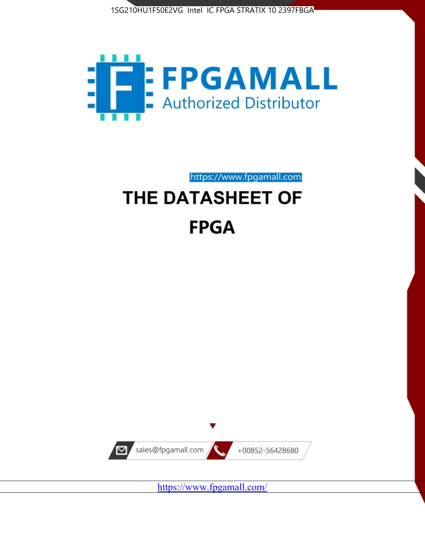



https://www.fpgamall.com

# THE DATASHEET OF **FPGA**



<https://www.fpgamall.com/>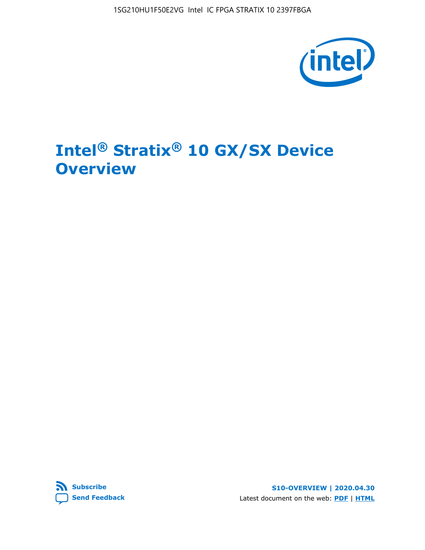1SG210HU1F50E2VG Intel IC FPGA STRATIX 10 2397FBGA



# **Intel® Stratix® 10 GX/SX Device Overview**



**S10-OVERVIEW | 2020.04.30** Latest document on the web: **[PDF](https://www.intel.com/content/dam/www/programmable/us/en/pdfs/literature/hb/stratix-10/s10-overview.pdf)** | **[HTML](https://www.intel.com/content/www/us/en/programmable/documentation/joc1442261161666.html)**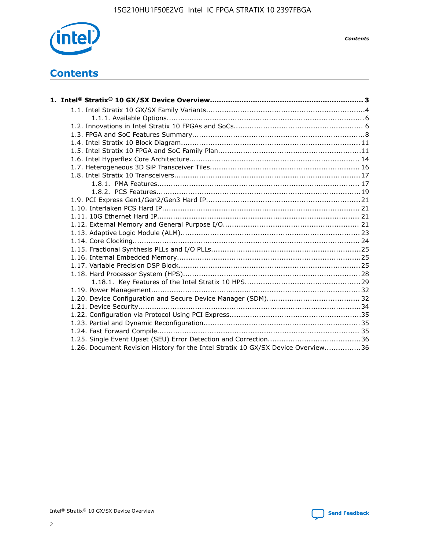

*Contents*

# **Contents**

| 1.26. Document Revision History for the Intel Stratix 10 GX/SX Device Overview36 |  |
|----------------------------------------------------------------------------------|--|

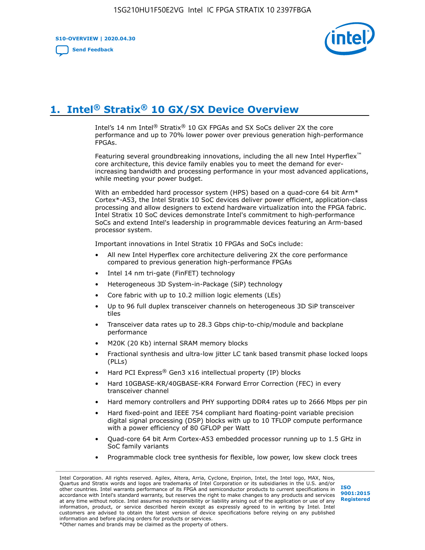**S10-OVERVIEW | 2020.04.30**

**[Send Feedback](mailto:FPGAtechdocfeedback@intel.com?subject=Feedback%20on%20Intel%20Stratix%2010%20GX/SX%20Device%20Overview%20(S10-OVERVIEW%202020.04.30)&body=We%20appreciate%20your%20feedback.%20In%20your%20comments,%20also%20specify%20the%20page%20number%20or%20paragraph.%20Thank%20you.)**



# **1. Intel® Stratix® 10 GX/SX Device Overview**

Intel's 14 nm Intel® Stratix® 10 GX FPGAs and SX SoCs deliver 2X the core performance and up to 70% lower power over previous generation high-performance FPGAs.

Featuring several groundbreaking innovations, including the all new Intel Hyperflex™ core architecture, this device family enables you to meet the demand for everincreasing bandwidth and processing performance in your most advanced applications, while meeting your power budget.

With an embedded hard processor system (HPS) based on a quad-core 64 bit Arm\* Cortex\*-A53, the Intel Stratix 10 SoC devices deliver power efficient, application-class processing and allow designers to extend hardware virtualization into the FPGA fabric. Intel Stratix 10 SoC devices demonstrate Intel's commitment to high-performance SoCs and extend Intel's leadership in programmable devices featuring an Arm-based processor system.

Important innovations in Intel Stratix 10 FPGAs and SoCs include:

- All new Intel Hyperflex core architecture delivering 2X the core performance compared to previous generation high-performance FPGAs
- Intel 14 nm tri-gate (FinFET) technology
- Heterogeneous 3D System-in-Package (SiP) technology
- Core fabric with up to 10.2 million logic elements (LEs)
- Up to 96 full duplex transceiver channels on heterogeneous 3D SiP transceiver tiles
- Transceiver data rates up to 28.3 Gbps chip-to-chip/module and backplane performance
- M20K (20 Kb) internal SRAM memory blocks
- Fractional synthesis and ultra-low jitter LC tank based transmit phase locked loops (PLLs)
- Hard PCI Express<sup>®</sup> Gen3 x16 intellectual property (IP) blocks
- Hard 10GBASE-KR/40GBASE-KR4 Forward Error Correction (FEC) in every transceiver channel
- Hard memory controllers and PHY supporting DDR4 rates up to 2666 Mbps per pin
- Hard fixed-point and IEEE 754 compliant hard floating-point variable precision digital signal processing (DSP) blocks with up to 10 TFLOP compute performance with a power efficiency of 80 GFLOP per Watt
- Quad-core 64 bit Arm Cortex-A53 embedded processor running up to 1.5 GHz in SoC family variants
- Programmable clock tree synthesis for flexible, low power, low skew clock trees

Intel Corporation. All rights reserved. Agilex, Altera, Arria, Cyclone, Enpirion, Intel, the Intel logo, MAX, Nios, Quartus and Stratix words and logos are trademarks of Intel Corporation or its subsidiaries in the U.S. and/or other countries. Intel warrants performance of its FPGA and semiconductor products to current specifications in accordance with Intel's standard warranty, but reserves the right to make changes to any products and services at any time without notice. Intel assumes no responsibility or liability arising out of the application or use of any information, product, or service described herein except as expressly agreed to in writing by Intel. Intel customers are advised to obtain the latest version of device specifications before relying on any published information and before placing orders for products or services. \*Other names and brands may be claimed as the property of others.

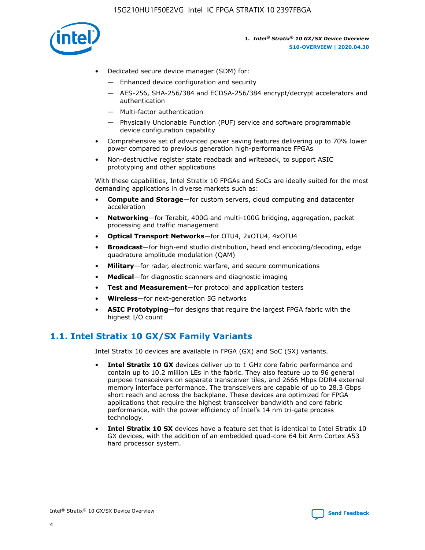

- Dedicated secure device manager (SDM) for:
	- Enhanced device configuration and security
	- AES-256, SHA-256/384 and ECDSA-256/384 encrypt/decrypt accelerators and authentication
	- Multi-factor authentication
	- Physically Unclonable Function (PUF) service and software programmable device configuration capability
- Comprehensive set of advanced power saving features delivering up to 70% lower power compared to previous generation high-performance FPGAs
- Non-destructive register state readback and writeback, to support ASIC prototyping and other applications

With these capabilities, Intel Stratix 10 FPGAs and SoCs are ideally suited for the most demanding applications in diverse markets such as:

- **Compute and Storage**—for custom servers, cloud computing and datacenter acceleration
- **Networking**—for Terabit, 400G and multi-100G bridging, aggregation, packet processing and traffic management
- **Optical Transport Networks**—for OTU4, 2xOTU4, 4xOTU4
- **Broadcast**—for high-end studio distribution, head end encoding/decoding, edge quadrature amplitude modulation (QAM)
- **Military**—for radar, electronic warfare, and secure communications
- **Medical**—for diagnostic scanners and diagnostic imaging
- **Test and Measurement**—for protocol and application testers
- **Wireless**—for next-generation 5G networks
- **ASIC Prototyping**—for designs that require the largest FPGA fabric with the highest I/O count

## **1.1. Intel Stratix 10 GX/SX Family Variants**

Intel Stratix 10 devices are available in FPGA (GX) and SoC (SX) variants.

- **Intel Stratix 10 GX** devices deliver up to 1 GHz core fabric performance and contain up to 10.2 million LEs in the fabric. They also feature up to 96 general purpose transceivers on separate transceiver tiles, and 2666 Mbps DDR4 external memory interface performance. The transceivers are capable of up to 28.3 Gbps short reach and across the backplane. These devices are optimized for FPGA applications that require the highest transceiver bandwidth and core fabric performance, with the power efficiency of Intel's 14 nm tri-gate process technology.
- **Intel Stratix 10 SX** devices have a feature set that is identical to Intel Stratix 10 GX devices, with the addition of an embedded quad-core 64 bit Arm Cortex A53 hard processor system.

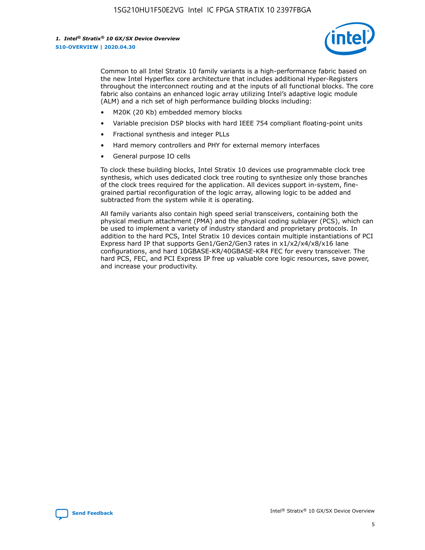

Common to all Intel Stratix 10 family variants is a high-performance fabric based on the new Intel Hyperflex core architecture that includes additional Hyper-Registers throughout the interconnect routing and at the inputs of all functional blocks. The core fabric also contains an enhanced logic array utilizing Intel's adaptive logic module (ALM) and a rich set of high performance building blocks including:

- M20K (20 Kb) embedded memory blocks
- Variable precision DSP blocks with hard IEEE 754 compliant floating-point units
- Fractional synthesis and integer PLLs
- Hard memory controllers and PHY for external memory interfaces
- General purpose IO cells

To clock these building blocks, Intel Stratix 10 devices use programmable clock tree synthesis, which uses dedicated clock tree routing to synthesize only those branches of the clock trees required for the application. All devices support in-system, finegrained partial reconfiguration of the logic array, allowing logic to be added and subtracted from the system while it is operating.

All family variants also contain high speed serial transceivers, containing both the physical medium attachment (PMA) and the physical coding sublayer (PCS), which can be used to implement a variety of industry standard and proprietary protocols. In addition to the hard PCS, Intel Stratix 10 devices contain multiple instantiations of PCI Express hard IP that supports Gen1/Gen2/Gen3 rates in x1/x2/x4/x8/x16 lane configurations, and hard 10GBASE-KR/40GBASE-KR4 FEC for every transceiver. The hard PCS, FEC, and PCI Express IP free up valuable core logic resources, save power, and increase your productivity.

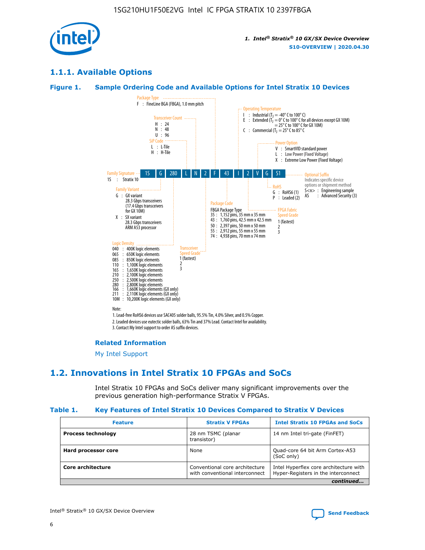

## **1.1.1. Available Options**

### **Figure 1. Sample Ordering Code and Available Options for Intel Stratix 10 Devices**



#### **Related Information**

[My Intel Support](https://www.intel.com/content/www/us/en/programmable/my-intel/mal-home.html)

## **1.2. Innovations in Intel Stratix 10 FPGAs and SoCs**

Intel Stratix 10 FPGAs and SoCs deliver many significant improvements over the previous generation high-performance Stratix V FPGAs.

#### **Table 1. Key Features of Intel Stratix 10 Devices Compared to Stratix V Devices**

| <b>Feature</b>            | <b>Stratix V FPGAs</b>                                           | <b>Intel Stratix 10 FPGAs and SoCs</b>                                        |
|---------------------------|------------------------------------------------------------------|-------------------------------------------------------------------------------|
| <b>Process technology</b> | 28 nm TSMC (planar<br>transistor)                                | 14 nm Intel tri-gate (FinFET)                                                 |
| Hard processor core       | None                                                             | Quad-core 64 bit Arm Cortex-A53<br>(SoC only)                                 |
| Core architecture         | Conventional core architecture<br>with conventional interconnect | Intel Hyperflex core architecture with<br>Hyper-Registers in the interconnect |
|                           |                                                                  | continued                                                                     |

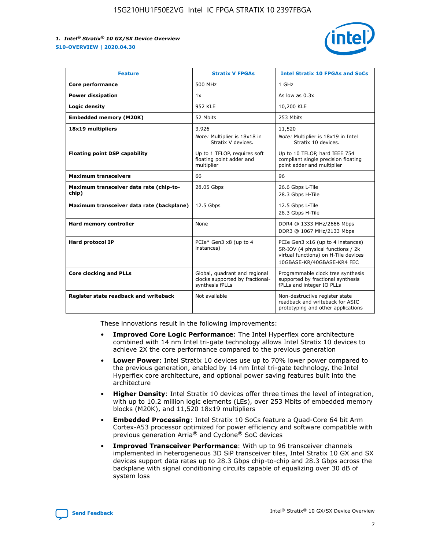

| <b>Feature</b>                                   | <b>Stratix V FPGAs</b>                                                              | <b>Intel Stratix 10 FPGAs and SoCs</b>                                                                                                       |
|--------------------------------------------------|-------------------------------------------------------------------------------------|----------------------------------------------------------------------------------------------------------------------------------------------|
| Core performance                                 | 500 MHz                                                                             | 1 GHz                                                                                                                                        |
| <b>Power dissipation</b>                         | 1x                                                                                  | As low as 0.3x                                                                                                                               |
| Logic density                                    | <b>952 KLE</b>                                                                      | 10,200 KLE                                                                                                                                   |
| <b>Embedded memory (M20K)</b>                    | 52 Mbits                                                                            | 253 Mbits                                                                                                                                    |
| 18x19 multipliers                                | 3,926                                                                               | 11,520                                                                                                                                       |
|                                                  | Note: Multiplier is 18x18 in<br>Stratix V devices.                                  | Note: Multiplier is 18x19 in Intel<br>Stratix 10 devices.                                                                                    |
| <b>Floating point DSP capability</b>             | Up to 1 TFLOP, requires soft<br>floating point adder and<br>multiplier              | Up to 10 TFLOP, hard IEEE 754<br>compliant single precision floating<br>point adder and multiplier                                           |
| <b>Maximum transceivers</b>                      | 66                                                                                  | 96                                                                                                                                           |
| Maximum transceiver data rate (chip-to-<br>chip) | 28.05 Gbps                                                                          | 26.6 Gbps L-Tile<br>28.3 Gbps H-Tile                                                                                                         |
| Maximum transceiver data rate (backplane)        | 12.5 Gbps                                                                           | 12.5 Gbps L-Tile<br>28.3 Gbps H-Tile                                                                                                         |
| Hard memory controller                           | None                                                                                | DDR4 @ 1333 MHz/2666 Mbps<br>DDR3 @ 1067 MHz/2133 Mbps                                                                                       |
| <b>Hard protocol IP</b>                          | PCIe* Gen3 x8 (up to 4<br>instances)                                                | PCIe Gen3 x16 (up to 4 instances)<br>SR-IOV (4 physical functions / 2k<br>virtual functions) on H-Tile devices<br>10GBASE-KR/40GBASE-KR4 FEC |
| <b>Core clocking and PLLs</b>                    | Global, quadrant and regional<br>clocks supported by fractional-<br>synthesis fPLLs | Programmable clock tree synthesis<br>supported by fractional synthesis<br>fPLLs and integer IO PLLs                                          |
| Register state readback and writeback            | Not available                                                                       | Non-destructive register state<br>readback and writeback for ASIC<br>prototyping and other applications                                      |

These innovations result in the following improvements:

- **Improved Core Logic Performance**: The Intel Hyperflex core architecture combined with 14 nm Intel tri-gate technology allows Intel Stratix 10 devices to achieve 2X the core performance compared to the previous generation
- **Lower Power**: Intel Stratix 10 devices use up to 70% lower power compared to the previous generation, enabled by 14 nm Intel tri-gate technology, the Intel Hyperflex core architecture, and optional power saving features built into the architecture
- **Higher Density**: Intel Stratix 10 devices offer three times the level of integration, with up to 10.2 million logic elements (LEs), over 253 Mbits of embedded memory blocks (M20K), and 11,520 18x19 multipliers
- **Embedded Processing**: Intel Stratix 10 SoCs feature a Quad-Core 64 bit Arm Cortex-A53 processor optimized for power efficiency and software compatible with previous generation Arria® and Cyclone® SoC devices
- **Improved Transceiver Performance**: With up to 96 transceiver channels implemented in heterogeneous 3D SiP transceiver tiles, Intel Stratix 10 GX and SX devices support data rates up to 28.3 Gbps chip-to-chip and 28.3 Gbps across the backplane with signal conditioning circuits capable of equalizing over 30 dB of system loss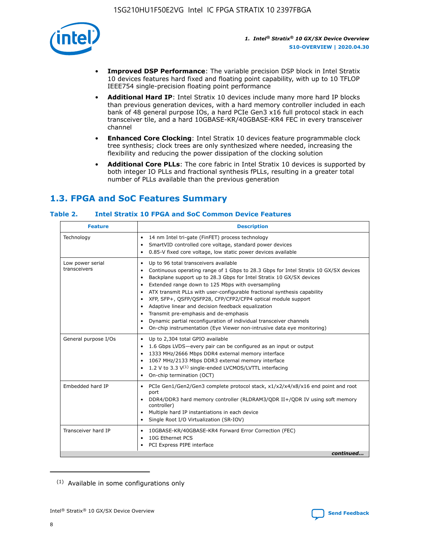

- **Improved DSP Performance**: The variable precision DSP block in Intel Stratix 10 devices features hard fixed and floating point capability, with up to 10 TFLOP IEEE754 single-precision floating point performance
- **Additional Hard IP**: Intel Stratix 10 devices include many more hard IP blocks than previous generation devices, with a hard memory controller included in each bank of 48 general purpose IOs, a hard PCIe Gen3 x16 full protocol stack in each transceiver tile, and a hard 10GBASE-KR/40GBASE-KR4 FEC in every transceiver channel
- **Enhanced Core Clocking**: Intel Stratix 10 devices feature programmable clock tree synthesis; clock trees are only synthesized where needed, increasing the flexibility and reducing the power dissipation of the clocking solution
- **Additional Core PLLs**: The core fabric in Intel Stratix 10 devices is supported by both integer IO PLLs and fractional synthesis fPLLs, resulting in a greater total number of PLLs available than the previous generation

# **1.3. FPGA and SoC Features Summary**

## **Table 2. Intel Stratix 10 FPGA and SoC Common Device Features**

| <b>Feature</b>                   | <b>Description</b>                                                                                                                                                                                                                                                                                                                                                                                                                                                                                                                                                                                                                                                                                                                                   |
|----------------------------------|------------------------------------------------------------------------------------------------------------------------------------------------------------------------------------------------------------------------------------------------------------------------------------------------------------------------------------------------------------------------------------------------------------------------------------------------------------------------------------------------------------------------------------------------------------------------------------------------------------------------------------------------------------------------------------------------------------------------------------------------------|
| Technology                       | 14 nm Intel tri-gate (FinFET) process technology<br>٠<br>SmartVID controlled core voltage, standard power devices<br>0.85-V fixed core voltage, low static power devices available                                                                                                                                                                                                                                                                                                                                                                                                                                                                                                                                                                   |
| Low power serial<br>transceivers | Up to 96 total transceivers available<br>$\bullet$<br>Continuous operating range of 1 Gbps to 28.3 Gbps for Intel Stratix 10 GX/SX devices<br>$\bullet$<br>Backplane support up to 28.3 Gbps for Intel Stratix 10 GX/SX devices<br>$\bullet$<br>Extended range down to 125 Mbps with oversampling<br>$\bullet$<br>ATX transmit PLLs with user-configurable fractional synthesis capability<br>$\bullet$<br>• XFP, SFP+, OSFP/OSFP28, CFP/CFP2/CFP4 optical module support<br>• Adaptive linear and decision feedback equalization<br>Transmit pre-emphasis and de-emphasis<br>Dynamic partial reconfiguration of individual transceiver channels<br>$\bullet$<br>On-chip instrumentation (Eye Viewer non-intrusive data eye monitoring)<br>$\bullet$ |
| General purpose I/Os             | Up to 2,304 total GPIO available<br>$\bullet$<br>1.6 Gbps LVDS-every pair can be configured as an input or output<br>$\bullet$<br>1333 MHz/2666 Mbps DDR4 external memory interface<br>1067 MHz/2133 Mbps DDR3 external memory interface<br>1.2 V to 3.3 $V^{(1)}$ single-ended LVCMOS/LVTTL interfacing<br>$\bullet$<br>On-chip termination (OCT)<br>$\bullet$                                                                                                                                                                                                                                                                                                                                                                                      |
| Embedded hard IP                 | • PCIe Gen1/Gen2/Gen3 complete protocol stack, $x1/x2/x4/x8/x16$ end point and root<br>port<br>DDR4/DDR3 hard memory controller (RLDRAM3/QDR II+/QDR IV using soft memory<br>controller)<br>Multiple hard IP instantiations in each device<br>$\bullet$<br>• Single Root I/O Virtualization (SR-IOV)                                                                                                                                                                                                                                                                                                                                                                                                                                                 |
| Transceiver hard IP              | 10GBASE-KR/40GBASE-KR4 Forward Error Correction (FEC)<br>$\bullet$<br>10G Ethernet PCS<br>$\bullet$<br>• PCI Express PIPE interface<br>continued                                                                                                                                                                                                                                                                                                                                                                                                                                                                                                                                                                                                     |

<sup>(1)</sup> Available in some configurations only

8

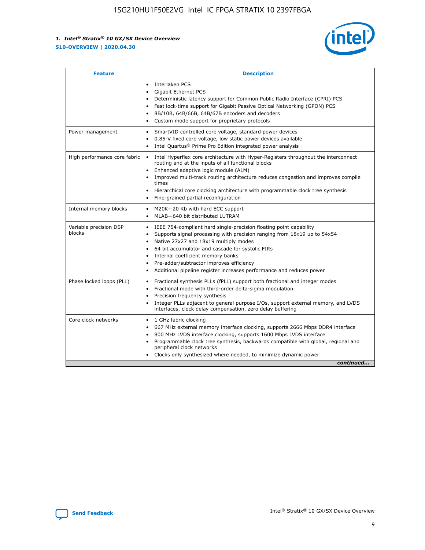

| <b>Feature</b>                   | <b>Description</b>                                                                                                                                                                                                                                                                                                                                                                                                                                                    |  |  |  |
|----------------------------------|-----------------------------------------------------------------------------------------------------------------------------------------------------------------------------------------------------------------------------------------------------------------------------------------------------------------------------------------------------------------------------------------------------------------------------------------------------------------------|--|--|--|
|                                  | Interlaken PCS<br>$\bullet$<br>Gigabit Ethernet PCS<br>$\bullet$<br>Deterministic latency support for Common Public Radio Interface (CPRI) PCS<br>$\bullet$<br>Fast lock-time support for Gigabit Passive Optical Networking (GPON) PCS<br>$\bullet$<br>8B/10B, 64B/66B, 64B/67B encoders and decoders<br>Custom mode support for proprietary protocols                                                                                                               |  |  |  |
| Power management                 | SmartVID controlled core voltage, standard power devices<br>$\bullet$<br>0.85-V fixed core voltage, low static power devices available<br>$\bullet$<br>Intel Quartus <sup>®</sup> Prime Pro Edition integrated power analysis<br>$\bullet$                                                                                                                                                                                                                            |  |  |  |
| High performance core fabric     | Intel Hyperflex core architecture with Hyper-Registers throughout the interconnect<br>routing and at the inputs of all functional blocks<br>Enhanced adaptive logic module (ALM)<br>$\bullet$<br>Improved multi-track routing architecture reduces congestion and improves compile<br>times<br>Hierarchical core clocking architecture with programmable clock tree synthesis<br>$\bullet$<br>Fine-grained partial reconfiguration                                    |  |  |  |
| Internal memory blocks           | M20K-20 Kb with hard ECC support<br>$\bullet$<br>MLAB-640 bit distributed LUTRAM<br>$\bullet$                                                                                                                                                                                                                                                                                                                                                                         |  |  |  |
| Variable precision DSP<br>blocks | IEEE 754-compliant hard single-precision floating point capability<br>$\bullet$<br>Supports signal processing with precision ranging from 18x19 up to 54x54<br>$\bullet$<br>Native 27x27 and 18x19 multiply modes<br>$\bullet$<br>64 bit accumulator and cascade for systolic FIRs<br>Internal coefficient memory banks<br>Pre-adder/subtractor improves efficiency<br>$\bullet$<br>Additional pipeline register increases performance and reduces power<br>$\bullet$ |  |  |  |
| Phase locked loops (PLL)         | Fractional synthesis PLLs (fPLL) support both fractional and integer modes<br>$\bullet$<br>Fractional mode with third-order delta-sigma modulation<br>Precision frequency synthesis<br>$\bullet$<br>Integer PLLs adjacent to general purpose I/Os, support external memory, and LVDS<br>$\bullet$<br>interfaces, clock delay compensation, zero delay buffering                                                                                                       |  |  |  |
| Core clock networks              | 1 GHz fabric clocking<br>$\bullet$<br>667 MHz external memory interface clocking, supports 2666 Mbps DDR4 interface<br>٠<br>800 MHz LVDS interface clocking, supports 1600 Mbps LVDS interface<br>$\bullet$<br>Programmable clock tree synthesis, backwards compatible with global, regional and<br>$\bullet$<br>peripheral clock networks<br>Clocks only synthesized where needed, to minimize dynamic power<br>continued                                            |  |  |  |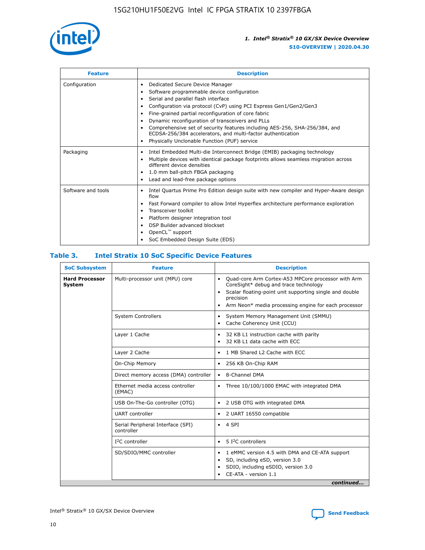

| <b>Feature</b>     | <b>Description</b>                                                                                                                                                                                                                                                                                                                                                                                                                                                                                                                                      |
|--------------------|---------------------------------------------------------------------------------------------------------------------------------------------------------------------------------------------------------------------------------------------------------------------------------------------------------------------------------------------------------------------------------------------------------------------------------------------------------------------------------------------------------------------------------------------------------|
| Configuration      | Dedicated Secure Device Manager<br>٠<br>Software programmable device configuration<br>٠<br>Serial and parallel flash interface<br>$\bullet$<br>Configuration via protocol (CvP) using PCI Express Gen1/Gen2/Gen3<br>٠<br>Fine-grained partial reconfiguration of core fabric<br>$\bullet$<br>Dynamic reconfiguration of transceivers and PLLs<br>$\bullet$<br>Comprehensive set of security features including AES-256, SHA-256/384, and<br>ECDSA-256/384 accelerators, and multi-factor authentication<br>Physically Unclonable Function (PUF) service |
| Packaging          | Intel Embedded Multi-die Interconnect Bridge (EMIB) packaging technology<br>$\bullet$<br>Multiple devices with identical package footprints allows seamless migration across<br>$\bullet$<br>different device densities<br>1.0 mm ball-pitch FBGA packaging<br>$\bullet$<br>Lead and lead-free package options                                                                                                                                                                                                                                          |
| Software and tools | Intel Quartus Prime Pro Edition design suite with new compiler and Hyper-Aware design<br>flow<br>Fast Forward compiler to allow Intel Hyperflex architecture performance exploration<br>$\bullet$<br>Transceiver toolkit<br>$\bullet$<br>Platform designer integration tool<br>$\bullet$<br>DSP Builder advanced blockset<br>OpenCL™ support<br>SoC Embedded Design Suite (EDS)                                                                                                                                                                         |

## **Table 3. Intel Stratix 10 SoC Specific Device Features**

| <b>SoC Subsystem</b>                   | <b>Feature</b>                                  | <b>Description</b>                                                                                                                                                                                                                                                 |  |  |  |
|----------------------------------------|-------------------------------------------------|--------------------------------------------------------------------------------------------------------------------------------------------------------------------------------------------------------------------------------------------------------------------|--|--|--|
| <b>Hard Processor</b><br><b>System</b> | Multi-processor unit (MPU) core                 | Quad-core Arm Cortex-A53 MPCore processor with Arm<br>$\bullet$<br>CoreSight* debug and trace technology<br>Scalar floating-point unit supporting single and double<br>$\bullet$<br>precision<br>Arm Neon* media processing engine for each processor<br>$\bullet$ |  |  |  |
|                                        | <b>System Controllers</b>                       | System Memory Management Unit (SMMU)<br>$\bullet$<br>Cache Coherency Unit (CCU)<br>$\bullet$                                                                                                                                                                       |  |  |  |
|                                        | Layer 1 Cache                                   | 32 KB L1 instruction cache with parity<br>٠<br>32 KB L1 data cache with ECC<br>$\bullet$                                                                                                                                                                           |  |  |  |
|                                        | Layer 2 Cache                                   | 1 MB Shared L2 Cache with ECC<br>$\bullet$                                                                                                                                                                                                                         |  |  |  |
|                                        | On-Chip Memory                                  | 256 KB On-Chip RAM<br>$\bullet$                                                                                                                                                                                                                                    |  |  |  |
|                                        | Direct memory access (DMA) controller           | • 8-Channel DMA                                                                                                                                                                                                                                                    |  |  |  |
|                                        | Ethernet media access controller<br>(EMAC)      | Three 10/100/1000 EMAC with integrated DMA<br>$\bullet$                                                                                                                                                                                                            |  |  |  |
|                                        | USB On-The-Go controller (OTG)                  | 2 USB OTG with integrated DMA<br>$\bullet$                                                                                                                                                                                                                         |  |  |  |
|                                        | <b>UART</b> controller                          | 2 UART 16550 compatible<br>$\bullet$                                                                                                                                                                                                                               |  |  |  |
|                                        | Serial Peripheral Interface (SPI)<br>controller | $\bullet$ 4 SPI                                                                                                                                                                                                                                                    |  |  |  |
|                                        | $I2C$ controller                                | 5 <sup>2</sup> C controllers<br>$\bullet$                                                                                                                                                                                                                          |  |  |  |
|                                        | SD/SDIO/MMC controller                          | 1 eMMC version 4.5 with DMA and CE-ATA support<br>$\bullet$<br>SD, including eSD, version 3.0<br>٠<br>SDIO, including eSDIO, version 3.0<br>CE-ATA - version 1.1<br>continued                                                                                      |  |  |  |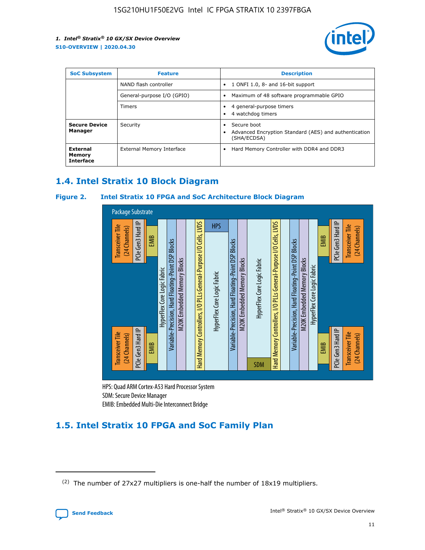

| <b>SoC Subsystem</b>                   | <b>Feature</b>             | <b>Description</b>                                                                            |  |  |
|----------------------------------------|----------------------------|-----------------------------------------------------------------------------------------------|--|--|
|                                        | NAND flash controller      | 1 ONFI 1.0, 8- and 16-bit support<br>$\bullet$                                                |  |  |
|                                        | General-purpose I/O (GPIO) | Maximum of 48 software programmable GPIO<br>$\bullet$                                         |  |  |
|                                        | <b>Timers</b>              | 4 general-purpose timers<br>٠<br>4 watchdog timers                                            |  |  |
| <b>Secure Device</b><br>Manager        | Security                   | Secure boot<br>٠<br>Advanced Encryption Standard (AES) and authentication<br>٠<br>(SHA/ECDSA) |  |  |
| External<br>Memory<br><b>Interface</b> | External Memory Interface  | Hard Memory Controller with DDR4 and DDR3<br>$\bullet$                                        |  |  |

## **1.4. Intel Stratix 10 Block Diagram**

## **Figure 2. Intel Stratix 10 FPGA and SoC Architecture Block Diagram**



HPS: Quad ARM Cortex-A53 Hard Processor System SDM: Secure Device Manager

# **1.5. Intel Stratix 10 FPGA and SoC Family Plan**

<sup>(2)</sup> The number of 27x27 multipliers is one-half the number of 18x19 multipliers.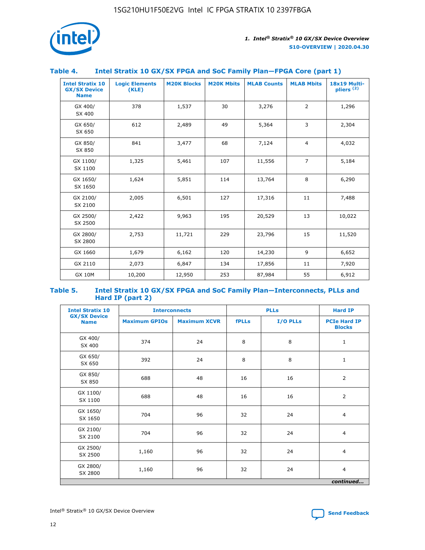

## **Table 4. Intel Stratix 10 GX/SX FPGA and SoC Family Plan—FPGA Core (part 1)**

| <b>Intel Stratix 10</b><br><b>GX/SX Device</b><br><b>Name</b> | <b>Logic Elements</b><br>(KLE) | <b>M20K Blocks</b> | <b>M20K Mbits</b> | <b>MLAB Counts</b> | <b>MLAB Mbits</b> | <b>18x19 Multi-</b><br>pliers <sup>(2)</sup> |
|---------------------------------------------------------------|--------------------------------|--------------------|-------------------|--------------------|-------------------|----------------------------------------------|
| GX 400/<br>SX 400                                             | 378                            | 1,537              | 30                | 3,276              | 2                 | 1,296                                        |
| GX 650/<br>SX 650                                             | 612                            | 2,489              | 49                | 5,364              | 3                 | 2,304                                        |
| GX 850/<br>SX 850                                             | 841                            | 3,477              | 68                | 7,124              | $\overline{4}$    | 4,032                                        |
| GX 1100/<br>SX 1100                                           | 1,325                          | 5,461              | 107               | 11,556             | $\overline{7}$    | 5,184                                        |
| GX 1650/<br>SX 1650                                           | 1,624                          | 5,851              | 114               | 13,764             | 8                 | 6,290                                        |
| GX 2100/<br>SX 2100                                           | 2,005                          | 6,501              | 127               | 17,316             | 11                | 7,488                                        |
| GX 2500/<br>SX 2500                                           | 2,422                          | 9,963              | 195               | 20,529             | 13                | 10,022                                       |
| GX 2800/<br>SX 2800                                           | 2,753                          | 11,721             | 229               | 23,796             | 15                | 11,520                                       |
| GX 1660                                                       | 1,679                          | 6,162              | 120               | 14,230             | 9                 | 6,652                                        |
| GX 2110                                                       | 2,073                          | 6,847              | 134               | 17,856             | 11                | 7,920                                        |
| <b>GX 10M</b>                                                 | 10,200                         | 12,950             | 253               | 87,984             | 55                | 6,912                                        |

#### **Table 5. Intel Stratix 10 GX/SX FPGA and SoC Family Plan—Interconnects, PLLs and Hard IP (part 2)**

| <b>Intel Stratix 10</b>            | <b>Interconnects</b> |                     | <b>PLLs</b>  |          | <b>Hard IP</b>                       |  |
|------------------------------------|----------------------|---------------------|--------------|----------|--------------------------------------|--|
| <b>GX/SX Device</b><br><b>Name</b> | <b>Maximum GPIOs</b> | <b>Maximum XCVR</b> | <b>fPLLs</b> | I/O PLLs | <b>PCIe Hard IP</b><br><b>Blocks</b> |  |
| GX 400/<br>SX 400                  | 374                  | 24                  | 8            | 8        | $\mathbf{1}$                         |  |
| GX 650/<br>SX 650                  | 392                  | 24                  | 8            | 8        | $\mathbf{1}$                         |  |
| GX 850/<br>SX 850                  | 688                  | 48                  | 16           | 16       | 2                                    |  |
| GX 1100/<br>SX 1100                | 688                  | 48                  | 16           | 16       | 2                                    |  |
| GX 1650/<br>SX 1650                | 704                  | 96                  | 32           | 24       | $\overline{4}$                       |  |
| GX 2100/<br>SX 2100                | 704                  | 96                  | 32           | 24       | $\overline{4}$                       |  |
| GX 2500/<br>SX 2500                | 1,160                | 96                  | 32           | 24       | $\overline{4}$                       |  |
| GX 2800/<br>SX 2800                | 1,160                | 96                  | 32           | 24       | $\overline{4}$                       |  |
| continued                          |                      |                     |              |          |                                      |  |

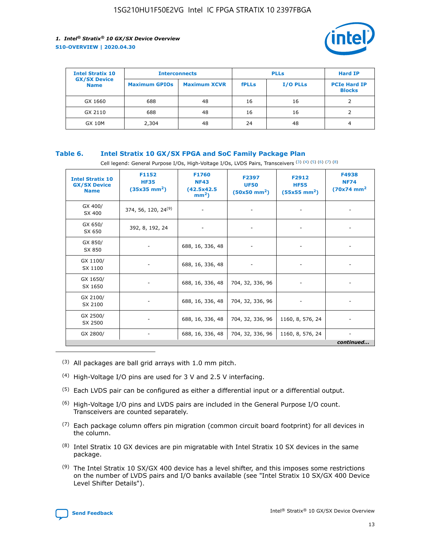

| <b>Intel Stratix 10</b>            | <b>Interconnects</b> |                     |              | <b>Hard IP</b>  |                                      |
|------------------------------------|----------------------|---------------------|--------------|-----------------|--------------------------------------|
| <b>GX/SX Device</b><br><b>Name</b> | <b>Maximum GPIOs</b> | <b>Maximum XCVR</b> | <b>fPLLs</b> | <b>I/O PLLs</b> | <b>PCIe Hard IP</b><br><b>Blocks</b> |
| GX 1660                            | 688                  | 48                  | 16           | 16              |                                      |
| GX 2110                            | 688                  | 48                  | 16           | 16              |                                      |
| <b>GX 10M</b>                      | 2,304                | 48                  | 24           | 48              | 4                                    |

## **Table 6. Intel Stratix 10 GX/SX FPGA and SoC Family Package Plan**

Cell legend: General Purpose I/Os, High-Voltage I/Os, LVDS Pairs, Transceivers (3) (4) (5) (6) (7) (8)

| <b>Intel Stratix 10</b><br><b>GX/SX Device</b><br><b>Name</b> | F1152<br><b>HF35</b><br>$(35x35 \text{ mm}^2)$ | F1760<br><b>NF43</b><br>(42.5x42.5<br>$mm2$ ) | F2397<br><b>UF50</b><br>$(50x50 \text{ mm}^2)$ | F2912<br><b>HF55</b><br>$(55x55$ mm <sup>2</sup> ) | F4938<br><b>NF74</b><br>$(70x74)$ mm <sup>2</sup> |
|---------------------------------------------------------------|------------------------------------------------|-----------------------------------------------|------------------------------------------------|----------------------------------------------------|---------------------------------------------------|
| GX 400/<br>SX 400                                             | 374, 56, 120, 24 <sup>(9)</sup>                | $\overline{\phantom{a}}$                      | $\overline{\phantom{a}}$                       | ۰                                                  |                                                   |
| GX 650/<br>SX 650                                             | 392, 8, 192, 24                                | $\overline{\phantom{a}}$                      | $\overline{\phantom{a}}$                       |                                                    |                                                   |
| GX 850/<br>SX 850                                             | ۰.                                             | 688, 16, 336, 48                              |                                                |                                                    |                                                   |
| GX 1100/<br>SX 1100                                           |                                                | 688, 16, 336, 48                              |                                                |                                                    |                                                   |
| GX 1650/<br>SX 1650                                           |                                                | 688, 16, 336, 48                              | 704, 32, 336, 96                               |                                                    |                                                   |
| GX 2100/<br>SX 2100                                           | -                                              | 688, 16, 336, 48                              | 704, 32, 336, 96                               | $\overline{\phantom{a}}$                           |                                                   |
| GX 2500/<br>SX 2500                                           |                                                | 688, 16, 336, 48                              | 704, 32, 336, 96                               | 1160, 8, 576, 24                                   |                                                   |
| GX 2800/                                                      | -                                              | 688, 16, 336, 48                              | 704, 32, 336, 96                               | 1160, 8, 576, 24                                   | $\overline{\phantom{a}}$<br>continued             |

- (3) All packages are ball grid arrays with 1.0 mm pitch.
- (4) High-Voltage I/O pins are used for 3 V and 2.5 V interfacing.
- $(5)$  Each LVDS pair can be configured as either a differential input or a differential output.
- (6) High-Voltage I/O pins and LVDS pairs are included in the General Purpose I/O count. Transceivers are counted separately.
- $(7)$  Each package column offers pin migration (common circuit board footprint) for all devices in the column.
- $(8)$  Intel Stratix 10 GX devices are pin migratable with Intel Stratix 10 SX devices in the same package.
- $(9)$  The Intel Stratix 10 SX/GX 400 device has a level shifter, and this imposes some restrictions on the number of LVDS pairs and I/O banks available (see "Intel Stratix 10 SX/GX 400 Device Level Shifter Details").

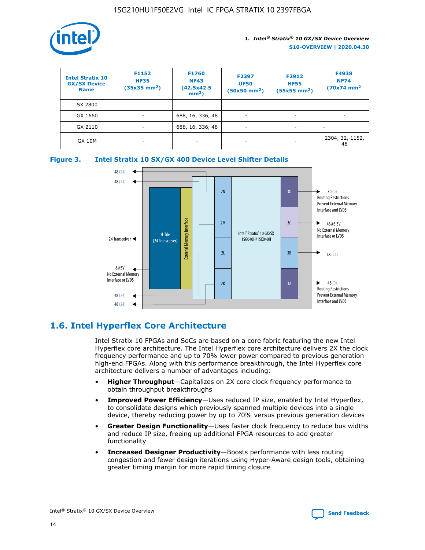

| <b>Intel Stratix 10</b><br><b>GX/SX Device</b><br><b>Name</b> | F1152<br><b>HF35</b><br>$(35x35)$ mm <sup>2</sup> ) | <b>F1760</b><br><b>NF43</b><br>(42.5x42.5<br>$mm2$ ) | F2397<br><b>UF50</b><br>$(50x50 \text{ mm}^2)$ | F2912<br><b>HF55</b><br>$(55x55$ mm <sup>2</sup> ) | F4938<br><b>NF74</b><br>$(70x74)$ mm <sup>2</sup> |
|---------------------------------------------------------------|-----------------------------------------------------|------------------------------------------------------|------------------------------------------------|----------------------------------------------------|---------------------------------------------------|
| SX 2800                                                       |                                                     |                                                      |                                                |                                                    |                                                   |
| GX 1660                                                       | ٠                                                   | 688, 16, 336, 48                                     | ۰                                              |                                                    |                                                   |
| GX 2110                                                       | -                                                   | 688, 16, 336, 48                                     | $\overline{\phantom{a}}$                       |                                                    |                                                   |
| <b>GX 10M</b>                                                 | ۰                                                   |                                                      |                                                |                                                    | 2304, 32, 1152,<br>48                             |





## **1.6. Intel Hyperflex Core Architecture**

Intel Stratix 10 FPGAs and SoCs are based on a core fabric featuring the new Intel Hyperflex core architecture. The Intel Hyperflex core architecture delivers 2X the clock frequency performance and up to 70% lower power compared to previous generation high-end FPGAs. Along with this performance breakthrough, the Intel Hyperflex core architecture delivers a number of advantages including:

- **Higher Throughput**—Capitalizes on 2X core clock frequency performance to obtain throughput breakthroughs
- **Improved Power Efficiency**—Uses reduced IP size, enabled by Intel Hyperflex, to consolidate designs which previously spanned multiple devices into a single device, thereby reducing power by up to 70% versus previous generation devices
- **Greater Design Functionality**—Uses faster clock frequency to reduce bus widths and reduce IP size, freeing up additional FPGA resources to add greater functionality
- **Increased Designer Productivity**—Boosts performance with less routing congestion and fewer design iterations using Hyper-Aware design tools, obtaining greater timing margin for more rapid timing closure

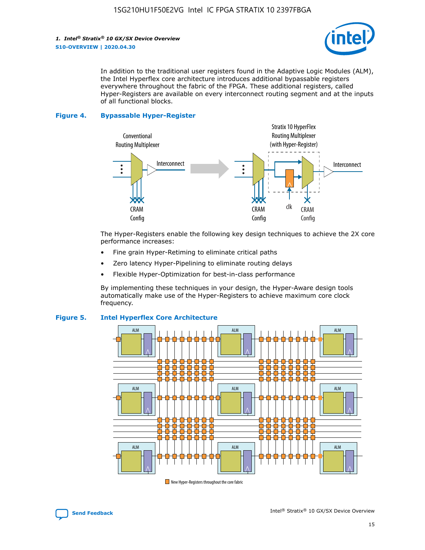

In addition to the traditional user registers found in the Adaptive Logic Modules (ALM), the Intel Hyperflex core architecture introduces additional bypassable registers everywhere throughout the fabric of the FPGA. These additional registers, called Hyper-Registers are available on every interconnect routing segment and at the inputs of all functional blocks.

#### **Figure 4. Bypassable Hyper-Register**



The Hyper-Registers enable the following key design techniques to achieve the 2X core performance increases:

- Fine grain Hyper-Retiming to eliminate critical paths
- Zero latency Hyper-Pipelining to eliminate routing delays
- Flexible Hyper-Optimization for best-in-class performance

By implementing these techniques in your design, the Hyper-Aware design tools automatically make use of the Hyper-Registers to achieve maximum core clock frequency.



## **Figure 5. Intel Hyperflex Core Architecture**

New Hyper-Registers throughout the core fabric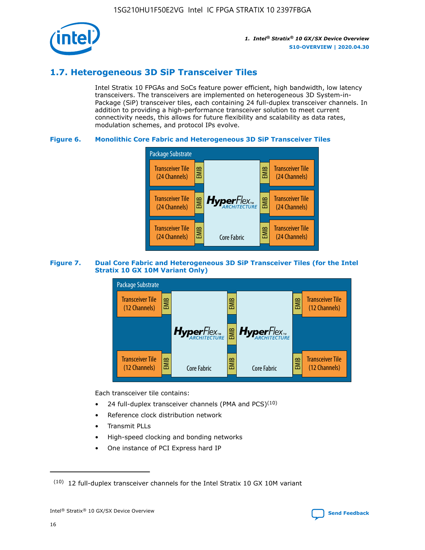

## **1.7. Heterogeneous 3D SiP Transceiver Tiles**

Intel Stratix 10 FPGAs and SoCs feature power efficient, high bandwidth, low latency transceivers. The transceivers are implemented on heterogeneous 3D System-in-Package (SiP) transceiver tiles, each containing 24 full-duplex transceiver channels. In addition to providing a high-performance transceiver solution to meet current connectivity needs, this allows for future flexibility and scalability as data rates, modulation schemes, and protocol IPs evolve.

## **Figure 6. Monolithic Core Fabric and Heterogeneous 3D SiP Transceiver Tiles**



## **Figure 7. Dual Core Fabric and Heterogeneous 3D SiP Transceiver Tiles (for the Intel Stratix 10 GX 10M Variant Only)**



Each transceiver tile contains:

- 24 full-duplex transceiver channels (PMA and PCS) $(10)$
- Reference clock distribution network
- Transmit PLLs
- High-speed clocking and bonding networks
- One instance of PCI Express hard IP

 $(10)$  12 full-duplex transceiver channels for the Intel Stratix 10 GX 10M variant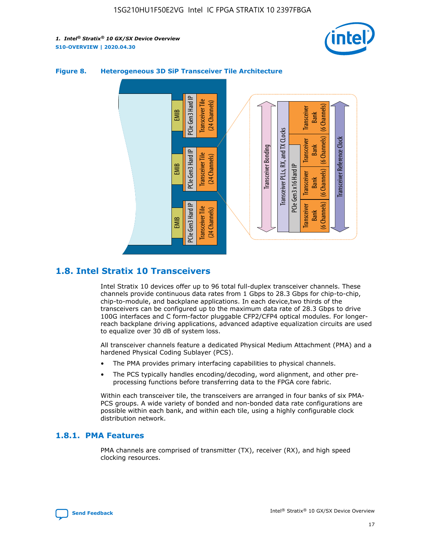



## **Figure 8. Heterogeneous 3D SiP Transceiver Tile Architecture**

## **1.8. Intel Stratix 10 Transceivers**

Intel Stratix 10 devices offer up to 96 total full-duplex transceiver channels. These channels provide continuous data rates from 1 Gbps to 28.3 Gbps for chip-to-chip, chip-to-module, and backplane applications. In each device,two thirds of the transceivers can be configured up to the maximum data rate of 28.3 Gbps to drive 100G interfaces and C form-factor pluggable CFP2/CFP4 optical modules. For longerreach backplane driving applications, advanced adaptive equalization circuits are used to equalize over 30 dB of system loss.

All transceiver channels feature a dedicated Physical Medium Attachment (PMA) and a hardened Physical Coding Sublayer (PCS).

- The PMA provides primary interfacing capabilities to physical channels.
- The PCS typically handles encoding/decoding, word alignment, and other preprocessing functions before transferring data to the FPGA core fabric.

Within each transceiver tile, the transceivers are arranged in four banks of six PMA-PCS groups. A wide variety of bonded and non-bonded data rate configurations are possible within each bank, and within each tile, using a highly configurable clock distribution network.

## **1.8.1. PMA Features**

PMA channels are comprised of transmitter (TX), receiver (RX), and high speed clocking resources.

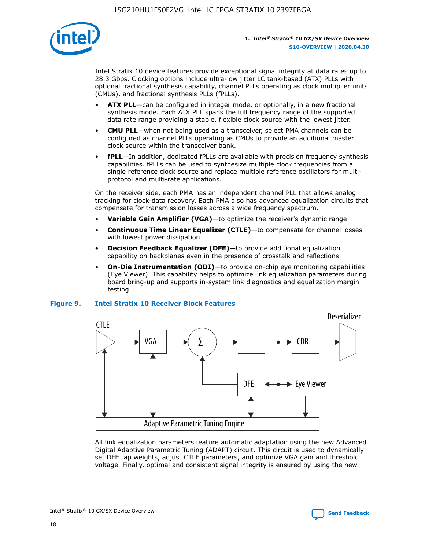

Intel Stratix 10 device features provide exceptional signal integrity at data rates up to 28.3 Gbps. Clocking options include ultra-low jitter LC tank-based (ATX) PLLs with optional fractional synthesis capability, channel PLLs operating as clock multiplier units (CMUs), and fractional synthesis PLLs (fPLLs).

- **ATX PLL**—can be configured in integer mode, or optionally, in a new fractional synthesis mode. Each ATX PLL spans the full frequency range of the supported data rate range providing a stable, flexible clock source with the lowest jitter.
- **CMU PLL**—when not being used as a transceiver, select PMA channels can be configured as channel PLLs operating as CMUs to provide an additional master clock source within the transceiver bank.
- **fPLL**—In addition, dedicated fPLLs are available with precision frequency synthesis capabilities. fPLLs can be used to synthesize multiple clock frequencies from a single reference clock source and replace multiple reference oscillators for multiprotocol and multi-rate applications.

On the receiver side, each PMA has an independent channel PLL that allows analog tracking for clock-data recovery. Each PMA also has advanced equalization circuits that compensate for transmission losses across a wide frequency spectrum.

- **Variable Gain Amplifier (VGA)**—to optimize the receiver's dynamic range
- **Continuous Time Linear Equalizer (CTLE)**—to compensate for channel losses with lowest power dissipation
- **Decision Feedback Equalizer (DFE)**—to provide additional equalization capability on backplanes even in the presence of crosstalk and reflections
- **On-Die Instrumentation (ODI)**—to provide on-chip eye monitoring capabilities (Eye Viewer). This capability helps to optimize link equalization parameters during board bring-up and supports in-system link diagnostics and equalization margin testing

#### **Figure 9. Intel Stratix 10 Receiver Block Features**



All link equalization parameters feature automatic adaptation using the new Advanced Digital Adaptive Parametric Tuning (ADAPT) circuit. This circuit is used to dynamically set DFE tap weights, adjust CTLE parameters, and optimize VGA gain and threshold voltage. Finally, optimal and consistent signal integrity is ensured by using the new



Intel<sup>®</sup> Stratix<sup>®</sup> 10 GX/SX Device Overview **[Send Feedback](mailto:FPGAtechdocfeedback@intel.com?subject=Feedback%20on%20Intel%20Stratix%2010%20GX/SX%20Device%20Overview%20(S10-OVERVIEW%202020.04.30)&body=We%20appreciate%20your%20feedback.%20In%20your%20comments,%20also%20specify%20the%20page%20number%20or%20paragraph.%20Thank%20you.)** Send Feedback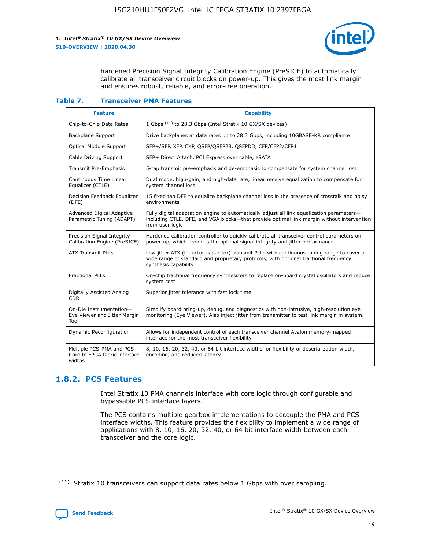

hardened Precision Signal Integrity Calibration Engine (PreSICE) to automatically calibrate all transceiver circuit blocks on power-up. This gives the most link margin and ensures robust, reliable, and error-free operation.

#### **Table 7. Transceiver PMA Features**

| <b>Feature</b>                                                       | <b>Capability</b>                                                                                                                                                                                         |
|----------------------------------------------------------------------|-----------------------------------------------------------------------------------------------------------------------------------------------------------------------------------------------------------|
| Chip-to-Chip Data Rates                                              | 1 Gbps (11) to 28.3 Gbps (Intel Stratix 10 GX/SX devices)                                                                                                                                                 |
| <b>Backplane Support</b>                                             | Drive backplanes at data rates up to 28.3 Gbps, including 10GBASE-KR compliance                                                                                                                           |
| Optical Module Support                                               | SFP+/SFP, XFP, CXP, QSFP/QSFP28, QSFPDD, CFP/CFP2/CFP4                                                                                                                                                    |
| Cable Driving Support                                                | SFP+ Direct Attach, PCI Express over cable, eSATA                                                                                                                                                         |
| <b>Transmit Pre-Emphasis</b>                                         | 5-tap transmit pre-emphasis and de-emphasis to compensate for system channel loss                                                                                                                         |
| Continuous Time Linear<br>Equalizer (CTLE)                           | Dual mode, high-gain, and high-data rate, linear receive equalization to compensate for<br>system channel loss                                                                                            |
| Decision Feedback Equalizer<br>(DFE)                                 | 15 fixed tap DFE to equalize backplane channel loss in the presence of crosstalk and noisy<br>environments                                                                                                |
| Advanced Digital Adaptive<br>Parametric Tuning (ADAPT)               | Fully digital adaptation engine to automatically adjust all link equalization parameters-<br>including CTLE, DFE, and VGA blocks-that provide optimal link margin without intervention<br>from user logic |
| Precision Signal Integrity<br>Calibration Engine (PreSICE)           | Hardened calibration controller to quickly calibrate all transceiver control parameters on<br>power-up, which provides the optimal signal integrity and jitter performance                                |
| <b>ATX Transmit PLLs</b>                                             | Low jitter ATX (inductor-capacitor) transmit PLLs with continuous tuning range to cover a<br>wide range of standard and proprietary protocols, with optional fractional frequency<br>synthesis capability |
| <b>Fractional PLLs</b>                                               | On-chip fractional frequency synthesizers to replace on-board crystal oscillators and reduce<br>system cost                                                                                               |
| Digitally Assisted Analog<br>CDR.                                    | Superior jitter tolerance with fast lock time                                                                                                                                                             |
| On-Die Instrumentation-<br>Eye Viewer and Jitter Margin<br>Tool      | Simplify board bring-up, debug, and diagnostics with non-intrusive, high-resolution eye<br>monitoring (Eye Viewer). Also inject jitter from transmitter to test link margin in system.                    |
| Dynamic Reconfiguration                                              | Allows for independent control of each transceiver channel Avalon memory-mapped<br>interface for the most transceiver flexibility.                                                                        |
| Multiple PCS-PMA and PCS-<br>Core to FPGA fabric interface<br>widths | 8, 10, 16, 20, 32, 40, or 64 bit interface widths for flexibility of deserialization width,<br>encoding, and reduced latency                                                                              |

## **1.8.2. PCS Features**

Intel Stratix 10 PMA channels interface with core logic through configurable and bypassable PCS interface layers.

The PCS contains multiple gearbox implementations to decouple the PMA and PCS interface widths. This feature provides the flexibility to implement a wide range of applications with 8, 10, 16, 20, 32, 40, or 64 bit interface width between each transceiver and the core logic.

<sup>(11)</sup> Stratix 10 transceivers can support data rates below 1 Gbps with over sampling.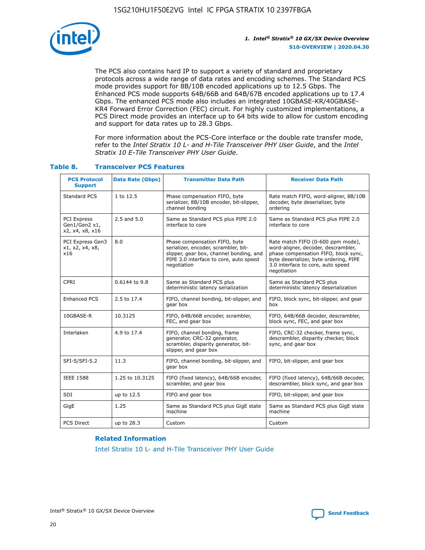

The PCS also contains hard IP to support a variety of standard and proprietary protocols across a wide range of data rates and encoding schemes. The Standard PCS mode provides support for 8B/10B encoded applications up to 12.5 Gbps. The Enhanced PCS mode supports 64B/66B and 64B/67B encoded applications up to 17.4 Gbps. The enhanced PCS mode also includes an integrated 10GBASE-KR/40GBASE-KR4 Forward Error Correction (FEC) circuit. For highly customized implementations, a PCS Direct mode provides an interface up to 64 bits wide to allow for custom encoding and support for data rates up to 28.3 Gbps.

For more information about the PCS-Core interface or the double rate transfer mode, refer to the *Intel Stratix 10 L- and H-Tile Transceiver PHY User Guide*, and the *Intel Stratix 10 E-Tile Transceiver PHY User Guide*.

| <b>PCS Protocol</b><br><b>Support</b>                  | <b>Data Rate (Gbps)</b> | <b>Transmitter Data Path</b>                                                                                                                                              | <b>Receiver Data Path</b>                                                                                                                                                                                      |
|--------------------------------------------------------|-------------------------|---------------------------------------------------------------------------------------------------------------------------------------------------------------------------|----------------------------------------------------------------------------------------------------------------------------------------------------------------------------------------------------------------|
| Standard PCS                                           | 1 to 12.5               | Phase compensation FIFO, byte<br>serializer, 8B/10B encoder, bit-slipper,<br>channel bonding                                                                              | Rate match FIFO, word-aligner, 8B/10B<br>decoder, byte deserializer, byte<br>ordering                                                                                                                          |
| <b>PCI Express</b><br>Gen1/Gen2 x1,<br>x2, x4, x8, x16 | 2.5 and 5.0             | Same as Standard PCS plus PIPE 2.0<br>interface to core                                                                                                                   | Same as Standard PCS plus PIPE 2.0<br>interface to core                                                                                                                                                        |
| PCI Express Gen3<br>x1, x2, x4, x8,<br>x16             | 8.0                     | Phase compensation FIFO, byte<br>serializer, encoder, scrambler, bit-<br>slipper, gear box, channel bonding, and<br>PIPE 3.0 interface to core, auto speed<br>negotiation | Rate match FIFO (0-600 ppm mode),<br>word-aligner, decoder, descrambler,<br>phase compensation FIFO, block sync,<br>byte deserializer, byte ordering, PIPE<br>3.0 interface to core, auto speed<br>negotiation |
| CPRI                                                   | 0.6144 to 9.8           | Same as Standard PCS plus<br>deterministic latency serialization                                                                                                          | Same as Standard PCS plus<br>deterministic latency deserialization                                                                                                                                             |
| <b>Enhanced PCS</b>                                    | 2.5 to 17.4             | FIFO, channel bonding, bit-slipper, and<br>gear box                                                                                                                       | FIFO, block sync, bit-slipper, and gear<br>box                                                                                                                                                                 |
| 10GBASE-R                                              | 10.3125                 | FIFO, 64B/66B encoder, scrambler,<br>FEC, and gear box                                                                                                                    | FIFO, 64B/66B decoder, descrambler,<br>block sync, FEC, and gear box                                                                                                                                           |
| Interlaken                                             | 4.9 to 17.4             | FIFO, channel bonding, frame<br>generator, CRC-32 generator,<br>scrambler, disparity generator, bit-<br>slipper, and gear box                                             | FIFO, CRC-32 checker, frame sync,<br>descrambler, disparity checker, block<br>sync, and gear box                                                                                                               |
| SFI-S/SFI-5.2                                          | 11.3                    | FIFO, channel bonding, bit-slipper, and<br>gear box                                                                                                                       | FIFO, bit-slipper, and gear box                                                                                                                                                                                |
| <b>IEEE 1588</b>                                       | 1.25 to 10.3125         | FIFO (fixed latency), 64B/66B encoder,<br>scrambler, and gear box                                                                                                         | FIFO (fixed latency), 64B/66B decoder,<br>descrambler, block sync, and gear box                                                                                                                                |
| SDI                                                    | up to 12.5              | FIFO and gear box                                                                                                                                                         | FIFO, bit-slipper, and gear box                                                                                                                                                                                |
| GigE                                                   | 1.25                    | Same as Standard PCS plus GigE state<br>machine                                                                                                                           | Same as Standard PCS plus GigE state<br>machine                                                                                                                                                                |
| <b>PCS Direct</b>                                      | up to 28.3              | Custom                                                                                                                                                                    | Custom                                                                                                                                                                                                         |

## **Table 8. Transceiver PCS Features**

#### **Related Information**

[Intel Stratix 10 L- and H-Tile Transceiver PHY User Guide](https://www.altera.com/documentation/wry1479165198810.html)

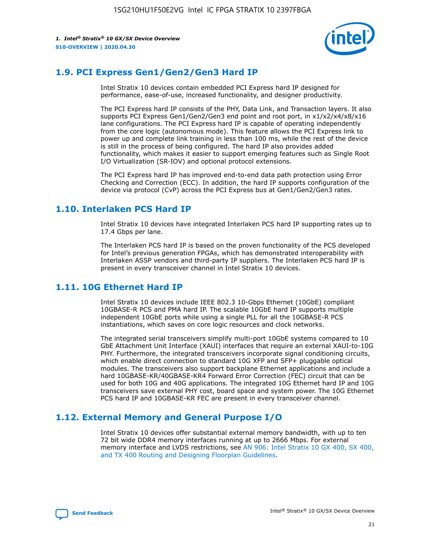

## **1.9. PCI Express Gen1/Gen2/Gen3 Hard IP**

Intel Stratix 10 devices contain embedded PCI Express hard IP designed for performance, ease-of-use, increased functionality, and designer productivity.

The PCI Express hard IP consists of the PHY, Data Link, and Transaction layers. It also supports PCI Express Gen1/Gen2/Gen3 end point and root port, in x1/x2/x4/x8/x16 lane configurations. The PCI Express hard IP is capable of operating independently from the core logic (autonomous mode). This feature allows the PCI Express link to power up and complete link training in less than 100 ms, while the rest of the device is still in the process of being configured. The hard IP also provides added functionality, which makes it easier to support emerging features such as Single Root I/O Virtualization (SR-IOV) and optional protocol extensions.

The PCI Express hard IP has improved end-to-end data path protection using Error Checking and Correction (ECC). In addition, the hard IP supports configuration of the device via protocol (CvP) across the PCI Express bus at Gen1/Gen2/Gen3 rates.

## **1.10. Interlaken PCS Hard IP**

Intel Stratix 10 devices have integrated Interlaken PCS hard IP supporting rates up to 17.4 Gbps per lane.

The Interlaken PCS hard IP is based on the proven functionality of the PCS developed for Intel's previous generation FPGAs, which has demonstrated interoperability with Interlaken ASSP vendors and third-party IP suppliers. The Interlaken PCS hard IP is present in every transceiver channel in Intel Stratix 10 devices.

## **1.11. 10G Ethernet Hard IP**

Intel Stratix 10 devices include IEEE 802.3 10-Gbps Ethernet (10GbE) compliant 10GBASE-R PCS and PMA hard IP. The scalable 10GbE hard IP supports multiple independent 10GbE ports while using a single PLL for all the 10GBASE-R PCS instantiations, which saves on core logic resources and clock networks.

The integrated serial transceivers simplify multi-port 10GbE systems compared to 10 GbE Attachment Unit Interface (XAUI) interfaces that require an external XAUI-to-10G PHY. Furthermore, the integrated transceivers incorporate signal conditioning circuits, which enable direct connection to standard 10G XFP and SFP+ pluggable optical modules. The transceivers also support backplane Ethernet applications and include a hard 10GBASE-KR/40GBASE-KR4 Forward Error Correction (FEC) circuit that can be used for both 10G and 40G applications. The integrated 10G Ethernet hard IP and 10G transceivers save external PHY cost, board space and system power. The 10G Ethernet PCS hard IP and 10GBASE-KR FEC are present in every transceiver channel.

## **1.12. External Memory and General Purpose I/O**

Intel Stratix 10 devices offer substantial external memory bandwidth, with up to ten 72 bit wide DDR4 memory interfaces running at up to 2666 Mbps. For external memory interface and LVDS restrictions, see [AN 906: Intel Stratix 10 GX 400, SX 400,](https://www.intel.com/content/www/us/en/programmable/documentation/sjf1574667190623.html#bft1574667627484) [and TX 400 Routing and Designing Floorplan Guidelines.](https://www.intel.com/content/www/us/en/programmable/documentation/sjf1574667190623.html#bft1574667627484)

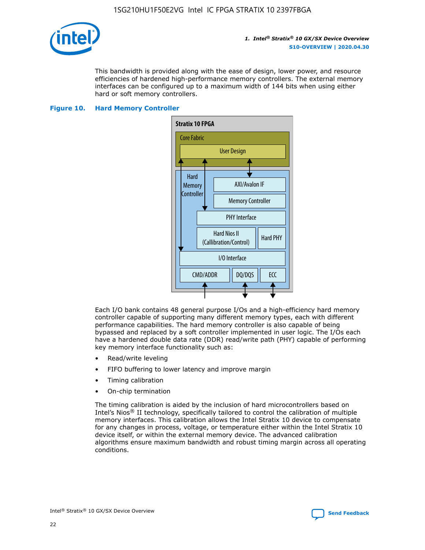

This bandwidth is provided along with the ease of design, lower power, and resource efficiencies of hardened high-performance memory controllers. The external memory interfaces can be configured up to a maximum width of 144 bits when using either hard or soft memory controllers.

### **Figure 10. Hard Memory Controller**



Each I/O bank contains 48 general purpose I/Os and a high-efficiency hard memory controller capable of supporting many different memory types, each with different performance capabilities. The hard memory controller is also capable of being bypassed and replaced by a soft controller implemented in user logic. The I/Os each have a hardened double data rate (DDR) read/write path (PHY) capable of performing key memory interface functionality such as:

- Read/write leveling
- FIFO buffering to lower latency and improve margin
- Timing calibration
- On-chip termination

The timing calibration is aided by the inclusion of hard microcontrollers based on Intel's Nios® II technology, specifically tailored to control the calibration of multiple memory interfaces. This calibration allows the Intel Stratix 10 device to compensate for any changes in process, voltage, or temperature either within the Intel Stratix 10 device itself, or within the external memory device. The advanced calibration algorithms ensure maximum bandwidth and robust timing margin across all operating conditions.

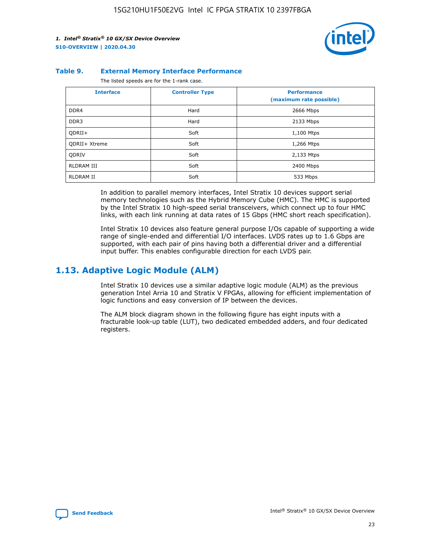

#### **Table 9. External Memory Interface Performance**

The listed speeds are for the 1-rank case.

| <b>Interface</b>     | <b>Controller Type</b> | <b>Performance</b><br>(maximum rate possible) |
|----------------------|------------------------|-----------------------------------------------|
| DDR4                 | Hard                   | 2666 Mbps                                     |
| DDR <sub>3</sub>     | Hard                   | 2133 Mbps                                     |
| QDRII+               | Soft                   | 1,100 Mtps                                    |
| <b>ODRII+ Xtreme</b> | Soft                   | 1,266 Mtps                                    |
| <b>ODRIV</b>         | Soft                   | 2,133 Mtps                                    |
| RLDRAM III           | Soft                   | 2400 Mbps                                     |
| <b>RLDRAM II</b>     | Soft                   | 533 Mbps                                      |

In addition to parallel memory interfaces, Intel Stratix 10 devices support serial memory technologies such as the Hybrid Memory Cube (HMC). The HMC is supported by the Intel Stratix 10 high-speed serial transceivers, which connect up to four HMC links, with each link running at data rates of 15 Gbps (HMC short reach specification).

Intel Stratix 10 devices also feature general purpose I/Os capable of supporting a wide range of single-ended and differential I/O interfaces. LVDS rates up to 1.6 Gbps are supported, with each pair of pins having both a differential driver and a differential input buffer. This enables configurable direction for each LVDS pair.

## **1.13. Adaptive Logic Module (ALM)**

Intel Stratix 10 devices use a similar adaptive logic module (ALM) as the previous generation Intel Arria 10 and Stratix V FPGAs, allowing for efficient implementation of logic functions and easy conversion of IP between the devices.

The ALM block diagram shown in the following figure has eight inputs with a fracturable look-up table (LUT), two dedicated embedded adders, and four dedicated registers.

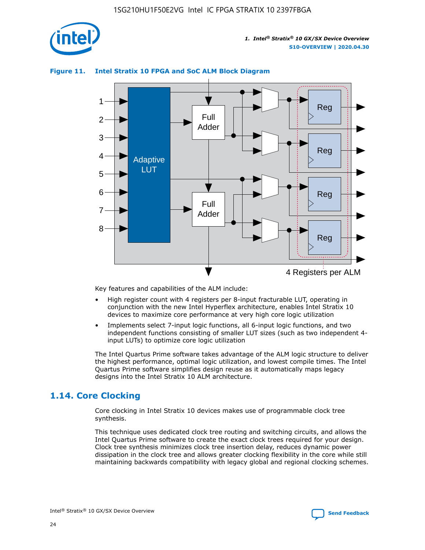

## **Figure 11. Intel Stratix 10 FPGA and SoC ALM Block Diagram**



Key features and capabilities of the ALM include:

- High register count with 4 registers per 8-input fracturable LUT, operating in conjunction with the new Intel Hyperflex architecture, enables Intel Stratix 10 devices to maximize core performance at very high core logic utilization
- Implements select 7-input logic functions, all 6-input logic functions, and two independent functions consisting of smaller LUT sizes (such as two independent 4 input LUTs) to optimize core logic utilization

The Intel Quartus Prime software takes advantage of the ALM logic structure to deliver the highest performance, optimal logic utilization, and lowest compile times. The Intel Quartus Prime software simplifies design reuse as it automatically maps legacy designs into the Intel Stratix 10 ALM architecture.

## **1.14. Core Clocking**

Core clocking in Intel Stratix 10 devices makes use of programmable clock tree synthesis.

This technique uses dedicated clock tree routing and switching circuits, and allows the Intel Quartus Prime software to create the exact clock trees required for your design. Clock tree synthesis minimizes clock tree insertion delay, reduces dynamic power dissipation in the clock tree and allows greater clocking flexibility in the core while still maintaining backwards compatibility with legacy global and regional clocking schemes.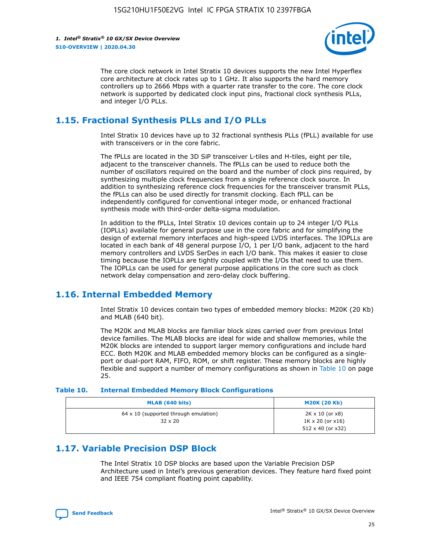

The core clock network in Intel Stratix 10 devices supports the new Intel Hyperflex core architecture at clock rates up to 1 GHz. It also supports the hard memory controllers up to 2666 Mbps with a quarter rate transfer to the core. The core clock network is supported by dedicated clock input pins, fractional clock synthesis PLLs, and integer I/O PLLs.

## **1.15. Fractional Synthesis PLLs and I/O PLLs**

Intel Stratix 10 devices have up to 32 fractional synthesis PLLs (fPLL) available for use with transceivers or in the core fabric.

The fPLLs are located in the 3D SiP transceiver L-tiles and H-tiles, eight per tile, adjacent to the transceiver channels. The fPLLs can be used to reduce both the number of oscillators required on the board and the number of clock pins required, by synthesizing multiple clock frequencies from a single reference clock source. In addition to synthesizing reference clock frequencies for the transceiver transmit PLLs, the fPLLs can also be used directly for transmit clocking. Each fPLL can be independently configured for conventional integer mode, or enhanced fractional synthesis mode with third-order delta-sigma modulation.

In addition to the fPLLs, Intel Stratix 10 devices contain up to 24 integer I/O PLLs (IOPLLs) available for general purpose use in the core fabric and for simplifying the design of external memory interfaces and high-speed LVDS interfaces. The IOPLLs are located in each bank of 48 general purpose I/O, 1 per I/O bank, adjacent to the hard memory controllers and LVDS SerDes in each I/O bank. This makes it easier to close timing because the IOPLLs are tightly coupled with the I/Os that need to use them. The IOPLLs can be used for general purpose applications in the core such as clock network delay compensation and zero-delay clock buffering.

## **1.16. Internal Embedded Memory**

Intel Stratix 10 devices contain two types of embedded memory blocks: M20K (20 Kb) and MLAB (640 bit).

The M20K and MLAB blocks are familiar block sizes carried over from previous Intel device families. The MLAB blocks are ideal for wide and shallow memories, while the M20K blocks are intended to support larger memory configurations and include hard ECC. Both M20K and MLAB embedded memory blocks can be configured as a singleport or dual-port RAM, FIFO, ROM, or shift register. These memory blocks are highly flexible and support a number of memory configurations as shown in Table 10 on page 25.

#### **Table 10. Internal Embedded Memory Block Configurations**

| MLAB (640 bits)                                                | <b>M20K (20 Kb)</b>                                                                    |
|----------------------------------------------------------------|----------------------------------------------------------------------------------------|
| $64 \times 10$ (supported through emulation)<br>$32 \times 20$ | $2K \times 10$ (or $x8$ )<br>$1K \times 20$ (or $x16$ )<br>$512 \times 40$ (or $x32$ ) |

## **1.17. Variable Precision DSP Block**

The Intel Stratix 10 DSP blocks are based upon the Variable Precision DSP Architecture used in Intel's previous generation devices. They feature hard fixed point and IEEE 754 compliant floating point capability.

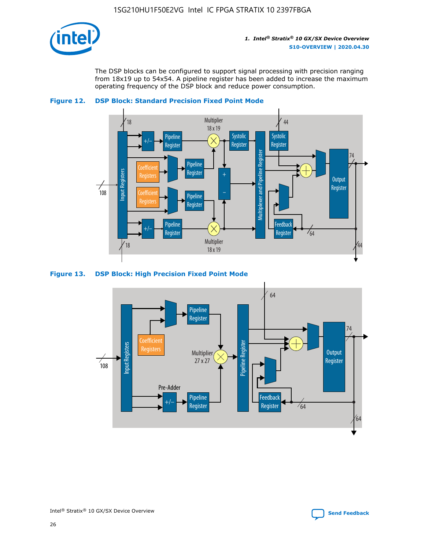

The DSP blocks can be configured to support signal processing with precision ranging from 18x19 up to 54x54. A pipeline register has been added to increase the maximum operating frequency of the DSP block and reduce power consumption.





#### **Figure 13. DSP Block: High Precision Fixed Point Mode**

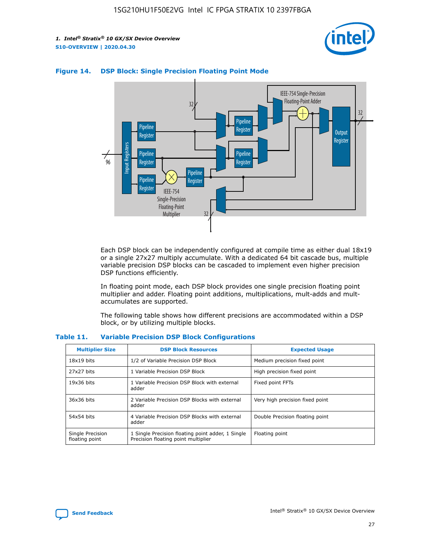



## **Figure 14. DSP Block: Single Precision Floating Point Mode**

Each DSP block can be independently configured at compile time as either dual 18x19 or a single 27x27 multiply accumulate. With a dedicated 64 bit cascade bus, multiple variable precision DSP blocks can be cascaded to implement even higher precision DSP functions efficiently.

In floating point mode, each DSP block provides one single precision floating point multiplier and adder. Floating point additions, multiplications, mult-adds and multaccumulates are supported.

The following table shows how different precisions are accommodated within a DSP block, or by utilizing multiple blocks.

| <b>Multiplier Size</b>             | <b>DSP Block Resources</b>                                                               | <b>Expected Usage</b>           |
|------------------------------------|------------------------------------------------------------------------------------------|---------------------------------|
| $18x19$ bits                       | 1/2 of Variable Precision DSP Block                                                      | Medium precision fixed point    |
| 27x27 bits                         | 1 Variable Precision DSP Block                                                           | High precision fixed point      |
| $19x36$ bits                       | 1 Variable Precision DSP Block with external<br>adder                                    | Fixed point FFTs                |
| 36x36 bits                         | 2 Variable Precision DSP Blocks with external<br>adder                                   | Very high precision fixed point |
| 54x54 bits                         | 4 Variable Precision DSP Blocks with external<br>adder                                   | Double Precision floating point |
| Single Precision<br>floating point | 1 Single Precision floating point adder, 1 Single<br>Precision floating point multiplier | Floating point                  |

#### **Table 11. Variable Precision DSP Block Configurations**

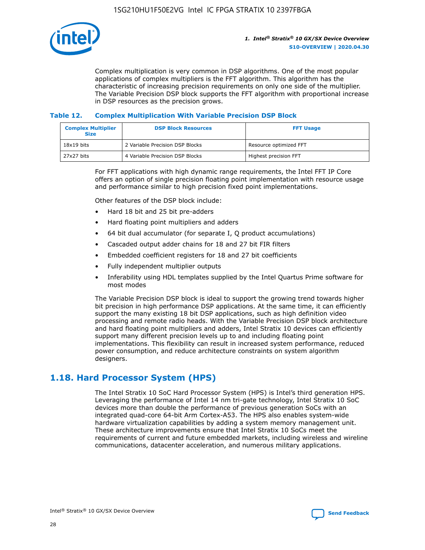

Complex multiplication is very common in DSP algorithms. One of the most popular applications of complex multipliers is the FFT algorithm. This algorithm has the characteristic of increasing precision requirements on only one side of the multiplier. The Variable Precision DSP block supports the FFT algorithm with proportional increase in DSP resources as the precision grows.

## **Table 12. Complex Multiplication With Variable Precision DSP Block**

| <b>Complex Multiplier</b><br><b>Size</b> | <b>DSP Block Resources</b>      | <b>FFT Usage</b>       |
|------------------------------------------|---------------------------------|------------------------|
| $18x19$ bits                             | 2 Variable Precision DSP Blocks | Resource optimized FFT |
| $27x27$ bits                             | 4 Variable Precision DSP Blocks | Highest precision FFT  |

For FFT applications with high dynamic range requirements, the Intel FFT IP Core offers an option of single precision floating point implementation with resource usage and performance similar to high precision fixed point implementations.

Other features of the DSP block include:

- Hard 18 bit and 25 bit pre-adders
- Hard floating point multipliers and adders
- 64 bit dual accumulator (for separate I, Q product accumulations)
- Cascaded output adder chains for 18 and 27 bit FIR filters
- Embedded coefficient registers for 18 and 27 bit coefficients
- Fully independent multiplier outputs
- Inferability using HDL templates supplied by the Intel Quartus Prime software for most modes

The Variable Precision DSP block is ideal to support the growing trend towards higher bit precision in high performance DSP applications. At the same time, it can efficiently support the many existing 18 bit DSP applications, such as high definition video processing and remote radio heads. With the Variable Precision DSP block architecture and hard floating point multipliers and adders, Intel Stratix 10 devices can efficiently support many different precision levels up to and including floating point implementations. This flexibility can result in increased system performance, reduced power consumption, and reduce architecture constraints on system algorithm designers.

## **1.18. Hard Processor System (HPS)**

The Intel Stratix 10 SoC Hard Processor System (HPS) is Intel's third generation HPS. Leveraging the performance of Intel 14 nm tri-gate technology, Intel Stratix 10 SoC devices more than double the performance of previous generation SoCs with an integrated quad-core 64-bit Arm Cortex-A53. The HPS also enables system-wide hardware virtualization capabilities by adding a system memory management unit. These architecture improvements ensure that Intel Stratix 10 SoCs meet the requirements of current and future embedded markets, including wireless and wireline communications, datacenter acceleration, and numerous military applications.

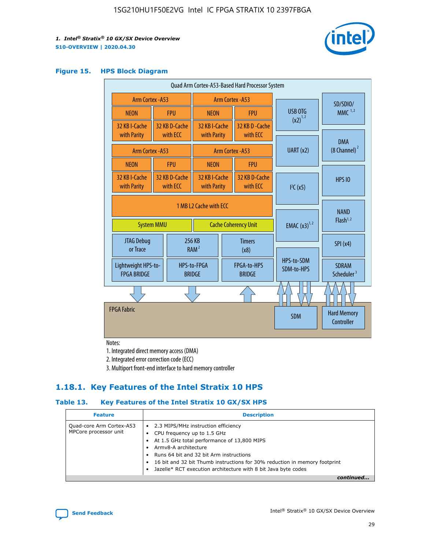

#### **Figure 15. HPS Block Diagram**

| Quad Arm Cortex-A53-Based Hard Processor System |                                                                            |                           |                                                     |                          |                                     |                          |                                        |
|-------------------------------------------------|----------------------------------------------------------------------------|---------------------------|-----------------------------------------------------|--------------------------|-------------------------------------|--------------------------|----------------------------------------|
|                                                 | Arm Cortex - A53<br>Arm Cortex - A53                                       |                           |                                                     |                          |                                     | SD/SDIO/                 |                                        |
| <b>NEON</b>                                     |                                                                            | <b>FPU</b>                | <b>NEON</b>                                         |                          | <b>FPU</b>                          | USB OTG                  | $MMC$ <sup>1,2</sup>                   |
| 32 KB I-Cache<br>with Parity                    |                                                                            | 32 KB D-Cache<br>with ECC | 32 KB I-Cache<br>with Parity                        |                          | 32 KB D - Cache<br>with ECC         | $(x2)^{1,2}$             |                                        |
| Arm Cortex - A53                                |                                                                            |                           |                                                     |                          | Arm Cortex - A53                    | UART(x2)                 | <b>DMA</b><br>$(8 \text{ Channel})^2$  |
| <b>NEON</b>                                     |                                                                            | <b>FPU</b>                | <b>NEON</b>                                         |                          | <b>FPU</b>                          |                          |                                        |
| 32 KB I-Cache<br>with Parity                    |                                                                            | 32 KB D-Cache<br>with ECC | 32 KB I-Cache<br>with Parity<br>with ECC            |                          | 32 KB D-Cache                       | I <sup>2</sup> C(x5)     | <b>HPS 10</b>                          |
|                                                 | 1 MB L2 Cache with ECC<br><b>System MMU</b><br><b>Cache Coherency Unit</b> |                           |                                                     | <b>EMAC</b> $(x3)^{1,2}$ | <b>NAND</b><br>Flash <sup>1,2</sup> |                          |                                        |
| JTAG Debug<br>or Trace                          |                                                                            |                           | 256 KB<br><b>Timers</b><br>RAM <sup>2</sup><br>(x8) |                          |                                     | SPI(x4)                  |                                        |
| Lightweight HPS-to-<br><b>FPGA BRIDGE</b>       |                                                                            |                           | HPS-to-FPGA<br><b>BRIDGE</b>                        |                          | FPGA-to-HPS<br><b>BRIDGE</b>        | HPS-to-SDM<br>SDM-to-HPS | <b>SDRAM</b><br>Scheduler <sup>3</sup> |
|                                                 |                                                                            |                           |                                                     |                          |                                     |                          |                                        |
| <b>FPGA Fabric</b>                              |                                                                            |                           |                                                     |                          |                                     | <b>SDM</b>               | <b>Hard Memory</b><br>Controller       |

Notes:

1. Integrated direct memory access (DMA)

2. Integrated error correction code (ECC)

3. Multiport front-end interface to hard memory controller

## **1.18.1. Key Features of the Intel Stratix 10 HPS**

## **Table 13. Key Features of the Intel Stratix 10 GX/SX HPS**

| <b>Feature</b>                                    | <b>Description</b>                                                                                                                                                                                                                                                                                                                                     |
|---------------------------------------------------|--------------------------------------------------------------------------------------------------------------------------------------------------------------------------------------------------------------------------------------------------------------------------------------------------------------------------------------------------------|
| Quad-core Arm Cortex-A53<br>MPCore processor unit | 2.3 MIPS/MHz instruction efficiency<br>$\bullet$<br>CPU frequency up to 1.5 GHz<br>٠<br>At 1.5 GHz total performance of 13,800 MIPS<br>Army8-A architecture<br>Runs 64 bit and 32 bit Arm instructions<br>16 bit and 32 bit Thumb instructions for 30% reduction in memory footprint<br>Jazelle* RCT execution architecture with 8 bit Java byte codes |
|                                                   |                                                                                                                                                                                                                                                                                                                                                        |

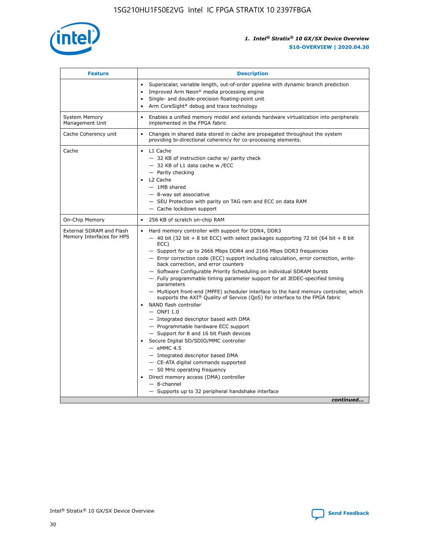

| <b>Feature</b>                                        | <b>Description</b>                                                                                                                                                                                                                                                                                                                                                                                                                                                                                                                                                                                                                                                                                                                                                                                                                                                                                                                                                                                                                                                                                                                                                                                                       |  |  |
|-------------------------------------------------------|--------------------------------------------------------------------------------------------------------------------------------------------------------------------------------------------------------------------------------------------------------------------------------------------------------------------------------------------------------------------------------------------------------------------------------------------------------------------------------------------------------------------------------------------------------------------------------------------------------------------------------------------------------------------------------------------------------------------------------------------------------------------------------------------------------------------------------------------------------------------------------------------------------------------------------------------------------------------------------------------------------------------------------------------------------------------------------------------------------------------------------------------------------------------------------------------------------------------------|--|--|
|                                                       | Superscalar, variable length, out-of-order pipeline with dynamic branch prediction<br>Improved Arm Neon* media processing engine<br>$\bullet$<br>Single- and double-precision floating-point unit<br>Arm CoreSight* debug and trace technology<br>$\bullet$                                                                                                                                                                                                                                                                                                                                                                                                                                                                                                                                                                                                                                                                                                                                                                                                                                                                                                                                                              |  |  |
| <b>System Memory</b><br>Management Unit               | Enables a unified memory model and extends hardware virtualization into peripherals<br>implemented in the FPGA fabric                                                                                                                                                                                                                                                                                                                                                                                                                                                                                                                                                                                                                                                                                                                                                                                                                                                                                                                                                                                                                                                                                                    |  |  |
| Cache Coherency unit                                  | Changes in shared data stored in cache are propagated throughout the system<br>$\bullet$<br>providing bi-directional coherency for co-processing elements.                                                                                                                                                                                                                                                                                                                                                                                                                                                                                                                                                                                                                                                                                                                                                                                                                                                                                                                                                                                                                                                               |  |  |
| Cache                                                 | L1 Cache<br>$\bullet$<br>- 32 KB of instruction cache w/ parity check<br>- 32 KB of L1 data cache w /ECC<br>- Parity checking<br>L <sub>2</sub> Cache<br>- 1MB shared<br>- 8-way set associative<br>- SEU Protection with parity on TAG ram and ECC on data RAM<br>- Cache lockdown support                                                                                                                                                                                                                                                                                                                                                                                                                                                                                                                                                                                                                                                                                                                                                                                                                                                                                                                              |  |  |
| On-Chip Memory                                        | 256 KB of scratch on-chip RAM                                                                                                                                                                                                                                                                                                                                                                                                                                                                                                                                                                                                                                                                                                                                                                                                                                                                                                                                                                                                                                                                                                                                                                                            |  |  |
| External SDRAM and Flash<br>Memory Interfaces for HPS | Hard memory controller with support for DDR4, DDR3<br>$\bullet$<br>$-$ 40 bit (32 bit + 8 bit ECC) with select packages supporting 72 bit (64 bit + 8 bit<br>ECC)<br>- Support for up to 2666 Mbps DDR4 and 2166 Mbps DDR3 frequencies<br>- Error correction code (ECC) support including calculation, error correction, write-<br>back correction, and error counters<br>- Software Configurable Priority Scheduling on individual SDRAM bursts<br>- Fully programmable timing parameter support for all JEDEC-specified timing<br>parameters<br>- Multiport front-end (MPFE) scheduler interface to the hard memory controller, which<br>supports the $AXI^{\circledR}$ Quality of Service (QoS) for interface to the FPGA fabric<br>NAND flash controller<br>$-$ ONFI 1.0<br>- Integrated descriptor based with DMA<br>- Programmable hardware ECC support<br>- Support for 8 and 16 bit Flash devices<br>Secure Digital SD/SDIO/MMC controller<br>$-$ eMMC 4.5<br>- Integrated descriptor based DMA<br>- CE-ATA digital commands supported<br>- 50 MHz operating frequency<br>Direct memory access (DMA) controller<br>$\bullet$<br>$-$ 8-channel<br>- Supports up to 32 peripheral handshake interface<br>continued |  |  |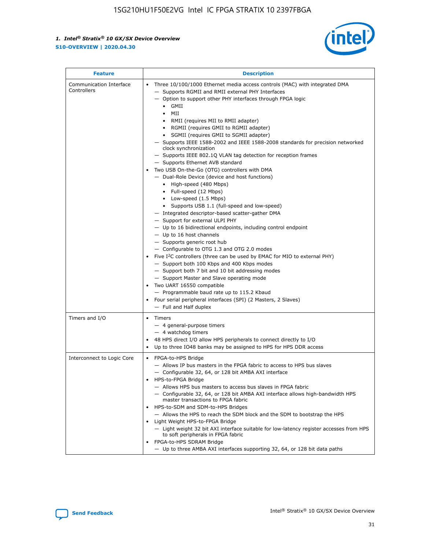

| <b>Feature</b>                         | <b>Description</b>                                                                                                                                                                                                                                                                                                                                                                                                                                                                                                                                                                                                                                                                                                                                                                                                                                                                                                                                                                                                                                                                                                                                                                                                                                                                                                                                                                                                                                                                                                  |  |
|----------------------------------------|---------------------------------------------------------------------------------------------------------------------------------------------------------------------------------------------------------------------------------------------------------------------------------------------------------------------------------------------------------------------------------------------------------------------------------------------------------------------------------------------------------------------------------------------------------------------------------------------------------------------------------------------------------------------------------------------------------------------------------------------------------------------------------------------------------------------------------------------------------------------------------------------------------------------------------------------------------------------------------------------------------------------------------------------------------------------------------------------------------------------------------------------------------------------------------------------------------------------------------------------------------------------------------------------------------------------------------------------------------------------------------------------------------------------------------------------------------------------------------------------------------------------|--|
| Communication Interface<br>Controllers | Three 10/100/1000 Ethernet media access controls (MAC) with integrated DMA<br>$\bullet$<br>- Supports RGMII and RMII external PHY Interfaces<br>- Option to support other PHY interfaces through FPGA logic<br>GMII<br>$\bullet$<br>MII<br>$\bullet$<br>• RMII (requires MII to RMII adapter)<br>• RGMII (requires GMII to RGMII adapter)<br>• SGMII (requires GMII to SGMII adapter)<br>- Supports IEEE 1588-2002 and IEEE 1588-2008 standards for precision networked<br>clock synchronization<br>- Supports IEEE 802.1Q VLAN tag detection for reception frames<br>- Supports Ethernet AVB standard<br>Two USB On-the-Go (OTG) controllers with DMA<br>- Dual-Role Device (device and host functions)<br>• High-speed (480 Mbps)<br>• Full-speed (12 Mbps)<br>• Low-speed (1.5 Mbps)<br>• Supports USB 1.1 (full-speed and low-speed)<br>- Integrated descriptor-based scatter-gather DMA<br>- Support for external ULPI PHY<br>- Up to 16 bidirectional endpoints, including control endpoint<br>$-$ Up to 16 host channels<br>- Supports generic root hub<br>- Configurable to OTG 1.3 and OTG 2.0 modes<br>Five $I^2C$ controllers (three can be used by EMAC for MIO to external PHY)<br>- Support both 100 Kbps and 400 Kbps modes<br>- Support both 7 bit and 10 bit addressing modes<br>- Support Master and Slave operating mode<br>Two UART 16550 compatible<br>- Programmable baud rate up to 115.2 Kbaud<br>• Four serial peripheral interfaces (SPI) (2 Masters, 2 Slaves)<br>- Full and Half duplex |  |
| Timers and I/O                         | $\bullet$ Timers<br>- 4 general-purpose timers<br>$-4$ watchdog timers<br>48 HPS direct I/O allow HPS peripherals to connect directly to I/O<br>Up to three IO48 banks may be assigned to HPS for HPS DDR access                                                                                                                                                                                                                                                                                                                                                                                                                                                                                                                                                                                                                                                                                                                                                                                                                                                                                                                                                                                                                                                                                                                                                                                                                                                                                                    |  |
| Interconnect to Logic Core             | • FPGA-to-HPS Bridge<br>- Allows IP bus masters in the FPGA fabric to access to HPS bus slaves<br>- Configurable 32, 64, or 128 bit AMBA AXI interface<br>HPS-to-FPGA Bridge<br>- Allows HPS bus masters to access bus slaves in FPGA fabric<br>- Configurable 32, 64, or 128 bit AMBA AXI interface allows high-bandwidth HPS<br>master transactions to FPGA fabric<br>HPS-to-SDM and SDM-to-HPS Bridges<br>- Allows the HPS to reach the SDM block and the SDM to bootstrap the HPS<br>Light Weight HPS-to-FPGA Bridge<br>- Light weight 32 bit AXI interface suitable for low-latency register accesses from HPS<br>to soft peripherals in FPGA fabric<br>FPGA-to-HPS SDRAM Bridge<br>- Up to three AMBA AXI interfaces supporting 32, 64, or 128 bit data paths                                                                                                                                                                                                                                                                                                                                                                                                                                                                                                                                                                                                                                                                                                                                                 |  |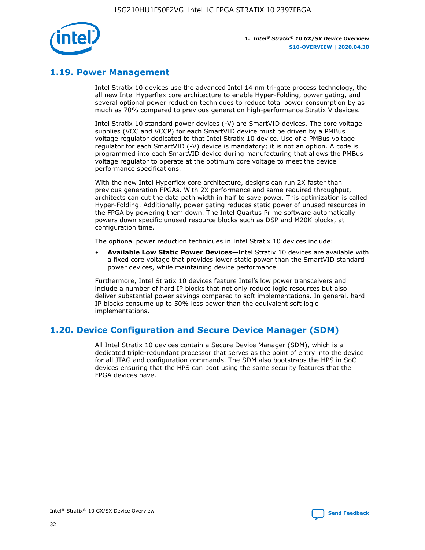

## **1.19. Power Management**

Intel Stratix 10 devices use the advanced Intel 14 nm tri-gate process technology, the all new Intel Hyperflex core architecture to enable Hyper-Folding, power gating, and several optional power reduction techniques to reduce total power consumption by as much as 70% compared to previous generation high-performance Stratix V devices.

Intel Stratix 10 standard power devices (-V) are SmartVID devices. The core voltage supplies (VCC and VCCP) for each SmartVID device must be driven by a PMBus voltage regulator dedicated to that Intel Stratix 10 device. Use of a PMBus voltage regulator for each SmartVID (-V) device is mandatory; it is not an option. A code is programmed into each SmartVID device during manufacturing that allows the PMBus voltage regulator to operate at the optimum core voltage to meet the device performance specifications.

With the new Intel Hyperflex core architecture, designs can run 2X faster than previous generation FPGAs. With 2X performance and same required throughput, architects can cut the data path width in half to save power. This optimization is called Hyper-Folding. Additionally, power gating reduces static power of unused resources in the FPGA by powering them down. The Intel Quartus Prime software automatically powers down specific unused resource blocks such as DSP and M20K blocks, at configuration time.

The optional power reduction techniques in Intel Stratix 10 devices include:

• **Available Low Static Power Devices**—Intel Stratix 10 devices are available with a fixed core voltage that provides lower static power than the SmartVID standard power devices, while maintaining device performance

Furthermore, Intel Stratix 10 devices feature Intel's low power transceivers and include a number of hard IP blocks that not only reduce logic resources but also deliver substantial power savings compared to soft implementations. In general, hard IP blocks consume up to 50% less power than the equivalent soft logic implementations.

## **1.20. Device Configuration and Secure Device Manager (SDM)**

All Intel Stratix 10 devices contain a Secure Device Manager (SDM), which is a dedicated triple-redundant processor that serves as the point of entry into the device for all JTAG and configuration commands. The SDM also bootstraps the HPS in SoC devices ensuring that the HPS can boot using the same security features that the FPGA devices have.

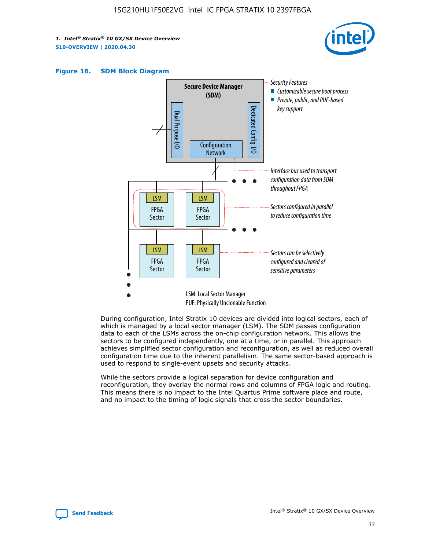





During configuration, Intel Stratix 10 devices are divided into logical sectors, each of which is managed by a local sector manager (LSM). The SDM passes configuration data to each of the LSMs across the on-chip configuration network. This allows the sectors to be configured independently, one at a time, or in parallel. This approach achieves simplified sector configuration and reconfiguration, as well as reduced overall configuration time due to the inherent parallelism. The same sector-based approach is used to respond to single-event upsets and security attacks.

While the sectors provide a logical separation for device configuration and reconfiguration, they overlay the normal rows and columns of FPGA logic and routing. This means there is no impact to the Intel Quartus Prime software place and route, and no impact to the timing of logic signals that cross the sector boundaries.

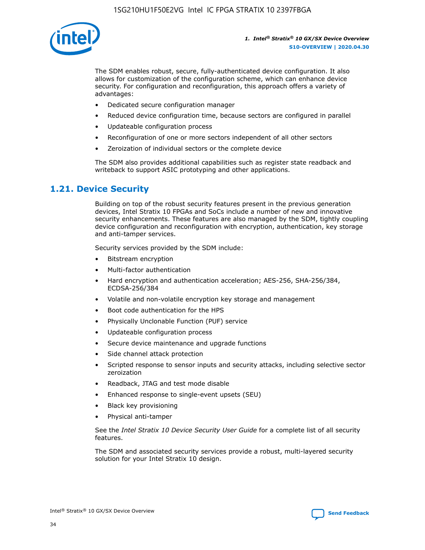

The SDM enables robust, secure, fully-authenticated device configuration. It also allows for customization of the configuration scheme, which can enhance device security. For configuration and reconfiguration, this approach offers a variety of advantages:

- Dedicated secure configuration manager
- Reduced device configuration time, because sectors are configured in parallel
- Updateable configuration process
- Reconfiguration of one or more sectors independent of all other sectors
- Zeroization of individual sectors or the complete device

The SDM also provides additional capabilities such as register state readback and writeback to support ASIC prototyping and other applications.

## **1.21. Device Security**

Building on top of the robust security features present in the previous generation devices, Intel Stratix 10 FPGAs and SoCs include a number of new and innovative security enhancements. These features are also managed by the SDM, tightly coupling device configuration and reconfiguration with encryption, authentication, key storage and anti-tamper services.

Security services provided by the SDM include:

- Bitstream encryption
- Multi-factor authentication
- Hard encryption and authentication acceleration; AES-256, SHA-256/384, ECDSA-256/384
- Volatile and non-volatile encryption key storage and management
- Boot code authentication for the HPS
- Physically Unclonable Function (PUF) service
- Updateable configuration process
- Secure device maintenance and upgrade functions
- Side channel attack protection
- Scripted response to sensor inputs and security attacks, including selective sector zeroization
- Readback, JTAG and test mode disable
- Enhanced response to single-event upsets (SEU)
- Black key provisioning
- Physical anti-tamper

See the *Intel Stratix 10 Device Security User Guide* for a complete list of all security features.

The SDM and associated security services provide a robust, multi-layered security solution for your Intel Stratix 10 design.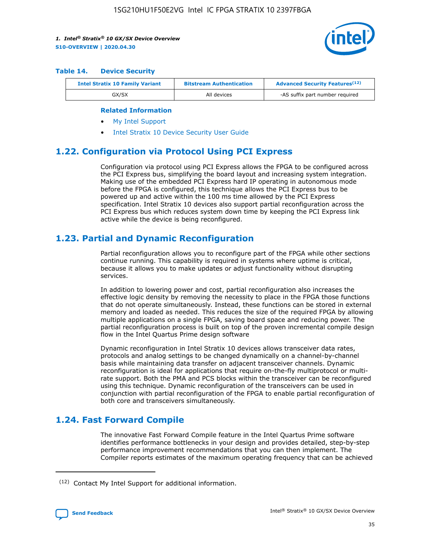

#### **Table 14. Device Security**

| <b>Intel Stratix 10 Family Variant</b> | <b>Bitstream Authentication</b> | <b>Advanced Security Features</b> <sup>(12)</sup> |
|----------------------------------------|---------------------------------|---------------------------------------------------|
| GX/SX                                  | All devices                     | -AS suffix part number required                   |

#### **Related Information**

- [My Intel Support](https://www.intel.com/content/www/us/en/programmable/my-intel/mal-home.html)
- [Intel Stratix 10 Device Security User Guide](https://www.intel.com/content/www/us/en/programmable/documentation/ndq1483601370898.html#wcd1483611014402)

## **1.22. Configuration via Protocol Using PCI Express**

Configuration via protocol using PCI Express allows the FPGA to be configured across the PCI Express bus, simplifying the board layout and increasing system integration. Making use of the embedded PCI Express hard IP operating in autonomous mode before the FPGA is configured, this technique allows the PCI Express bus to be powered up and active within the 100 ms time allowed by the PCI Express specification. Intel Stratix 10 devices also support partial reconfiguration across the PCI Express bus which reduces system down time by keeping the PCI Express link active while the device is being reconfigured.

## **1.23. Partial and Dynamic Reconfiguration**

Partial reconfiguration allows you to reconfigure part of the FPGA while other sections continue running. This capability is required in systems where uptime is critical, because it allows you to make updates or adjust functionality without disrupting services.

In addition to lowering power and cost, partial reconfiguration also increases the effective logic density by removing the necessity to place in the FPGA those functions that do not operate simultaneously. Instead, these functions can be stored in external memory and loaded as needed. This reduces the size of the required FPGA by allowing multiple applications on a single FPGA, saving board space and reducing power. The partial reconfiguration process is built on top of the proven incremental compile design flow in the Intel Quartus Prime design software

Dynamic reconfiguration in Intel Stratix 10 devices allows transceiver data rates, protocols and analog settings to be changed dynamically on a channel-by-channel basis while maintaining data transfer on adjacent transceiver channels. Dynamic reconfiguration is ideal for applications that require on-the-fly multiprotocol or multirate support. Both the PMA and PCS blocks within the transceiver can be reconfigured using this technique. Dynamic reconfiguration of the transceivers can be used in conjunction with partial reconfiguration of the FPGA to enable partial reconfiguration of both core and transceivers simultaneously.

## **1.24. Fast Forward Compile**

The innovative Fast Forward Compile feature in the Intel Quartus Prime software identifies performance bottlenecks in your design and provides detailed, step-by-step performance improvement recommendations that you can then implement. The Compiler reports estimates of the maximum operating frequency that can be achieved

<sup>(12)</sup> Contact My Intel Support for additional information.

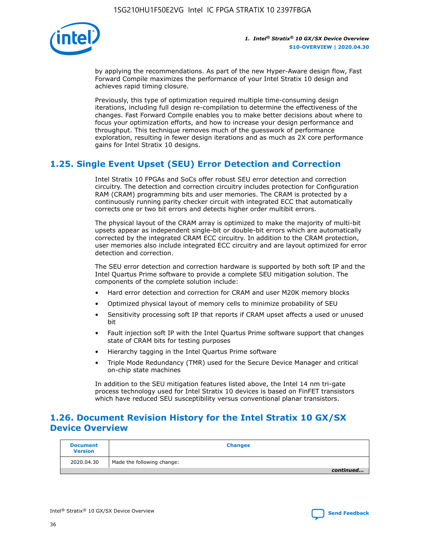

by applying the recommendations. As part of the new Hyper-Aware design flow, Fast Forward Compile maximizes the performance of your Intel Stratix 10 design and achieves rapid timing closure.

Previously, this type of optimization required multiple time-consuming design iterations, including full design re-compilation to determine the effectiveness of the changes. Fast Forward Compile enables you to make better decisions about where to focus your optimization efforts, and how to increase your design performance and throughput. This technique removes much of the guesswork of performance exploration, resulting in fewer design iterations and as much as 2X core performance gains for Intel Stratix 10 designs.

## **1.25. Single Event Upset (SEU) Error Detection and Correction**

Intel Stratix 10 FPGAs and SoCs offer robust SEU error detection and correction circuitry. The detection and correction circuitry includes protection for Configuration RAM (CRAM) programming bits and user memories. The CRAM is protected by a continuously running parity checker circuit with integrated ECC that automatically corrects one or two bit errors and detects higher order multibit errors.

The physical layout of the CRAM array is optimized to make the majority of multi-bit upsets appear as independent single-bit or double-bit errors which are automatically corrected by the integrated CRAM ECC circuitry. In addition to the CRAM protection, user memories also include integrated ECC circuitry and are layout optimized for error detection and correction.

The SEU error detection and correction hardware is supported by both soft IP and the Intel Quartus Prime software to provide a complete SEU mitigation solution. The components of the complete solution include:

- Hard error detection and correction for CRAM and user M20K memory blocks
- Optimized physical layout of memory cells to minimize probability of SEU
- Sensitivity processing soft IP that reports if CRAM upset affects a used or unused bit
- Fault injection soft IP with the Intel Quartus Prime software support that changes state of CRAM bits for testing purposes
- Hierarchy tagging in the Intel Quartus Prime software
- Triple Mode Redundancy (TMR) used for the Secure Device Manager and critical on-chip state machines

In addition to the SEU mitigation features listed above, the Intel 14 nm tri-gate process technology used for Intel Stratix 10 devices is based on FinFET transistors which have reduced SEU susceptibility versus conventional planar transistors.

## **1.26. Document Revision History for the Intel Stratix 10 GX/SX Device Overview**

| <b>Document</b><br><b>Version</b> | <b>Changes</b>             |
|-----------------------------------|----------------------------|
| 2020.04.30                        | Made the following change: |
|                                   | continued                  |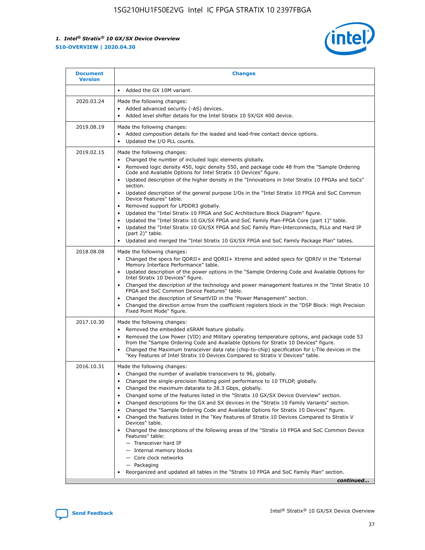

| <b>Document</b><br><b>Version</b> | <b>Changes</b>                                                                                                                                                                                                                                                                                                                                                                                                                                                                                                                                                                                                                                                                                                                                                                                                                                                                                                                                                                                              |
|-----------------------------------|-------------------------------------------------------------------------------------------------------------------------------------------------------------------------------------------------------------------------------------------------------------------------------------------------------------------------------------------------------------------------------------------------------------------------------------------------------------------------------------------------------------------------------------------------------------------------------------------------------------------------------------------------------------------------------------------------------------------------------------------------------------------------------------------------------------------------------------------------------------------------------------------------------------------------------------------------------------------------------------------------------------|
|                                   | Added the GX 10M variant.                                                                                                                                                                                                                                                                                                                                                                                                                                                                                                                                                                                                                                                                                                                                                                                                                                                                                                                                                                                   |
| 2020.03.24                        | Made the following changes:<br>Added advanced security (-AS) devices.<br>Added level shifter details for the Intel Stratix 10 SX/GX 400 device.                                                                                                                                                                                                                                                                                                                                                                                                                                                                                                                                                                                                                                                                                                                                                                                                                                                             |
| 2019.08.19                        | Made the following changes:<br>Added composition details for the leaded and lead-free contact device options.<br>$\bullet$<br>Updated the I/O PLL counts.                                                                                                                                                                                                                                                                                                                                                                                                                                                                                                                                                                                                                                                                                                                                                                                                                                                   |
| 2019.02.15                        | Made the following changes:<br>Changed the number of included logic elements globally.<br>$\bullet$<br>Removed logic density 450, logic density 550, and package code 48 from the "Sample Ordering<br>$\bullet$<br>Code and Available Options for Intel Stratix 10 Devices" figure.<br>Updated description of the higher density in the "Innovations in Intel Stratix 10 FPGAs and SoCs"<br>section.<br>Updated description of the general purpose I/Os in the "Intel Stratix 10 FPGA and SoC Common<br>$\bullet$<br>Device Features" table.<br>Removed support for LPDDR3 globally.<br>Updated the "Intel Stratix 10 FPGA and SoC Architecture Block Diagram" figure.<br>$\bullet$<br>Updated the "Intel Stratix 10 GX/SX FPGA and SoC Family Plan-FPGA Core (part 1)" table.<br>$\bullet$<br>Updated the "Intel Stratix 10 GX/SX FPGA and SoC Family Plan-Interconnects, PLLs and Hard IP<br>(part 2)" table.<br>Updated and merged the "Intel Stratix 10 GX/SX FPGA and SoC Family Package Plan" tables. |
| 2018.08.08                        | Made the following changes:<br>Changed the specs for QDRII+ and QDRII+ Xtreme and added specs for QDRIV in the "External<br>$\bullet$<br>Memory Interface Performance" table.<br>Updated description of the power options in the "Sample Ordering Code and Available Options for<br>Intel Stratix 10 Devices" figure.<br>Changed the description of the technology and power management features in the "Intel Stratix 10<br>FPGA and SoC Common Device Features" table.<br>Changed the description of SmartVID in the "Power Management" section.<br>Changed the direction arrow from the coefficient registers block in the "DSP Block: High Precision<br>$\bullet$<br>Fixed Point Mode" figure.                                                                                                                                                                                                                                                                                                          |
| 2017.10.30                        | Made the following changes:<br>Removed the embedded eSRAM feature globally.<br>$\bullet$<br>Removed the Low Power (VID) and Military operating temperature options, and package code 53<br>$\bullet$<br>from the "Sample Ordering Code and Available Options for Stratix 10 Devices" figure.<br>Changed the Maximum transceiver data rate (chip-to-chip) specification for L-Tile devices in the<br>"Key Features of Intel Stratix 10 Devices Compared to Stratix V Devices" table.                                                                                                                                                                                                                                                                                                                                                                                                                                                                                                                         |
| 2016.10.31                        | Made the following changes:<br>• Changed the number of available transceivers to 96, globally.<br>Changed the single-precision floating point performance to 10 TFLOP, globally.<br>Changed the maximum datarate to 28.3 Gbps, globally.<br>٠<br>Changed some of the features listed in the "Stratix 10 GX/SX Device Overview" section.<br>$\bullet$<br>Changed descriptions for the GX and SX devices in the "Stratix 10 Family Variants" section.<br>$\bullet$<br>Changed the "Sample Ordering Code and Available Options for Stratix 10 Devices" figure.<br>Changed the features listed in the "Key Features of Stratix 10 Devices Compared to Stratix V<br>Devices" table.<br>Changed the descriptions of the following areas of the "Stratix 10 FPGA and SoC Common Device<br>Features" table:<br>- Transceiver hard IP<br>- Internal memory blocks<br>- Core clock networks<br>- Packaging<br>Reorganized and updated all tables in the "Stratix 10 FPGA and SoC Family Plan" section.                |
|                                   | continued                                                                                                                                                                                                                                                                                                                                                                                                                                                                                                                                                                                                                                                                                                                                                                                                                                                                                                                                                                                                   |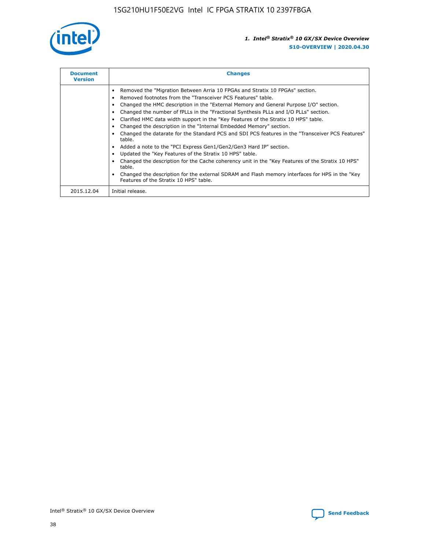

| <b>Document</b><br><b>Version</b> | <b>Changes</b>                                                                                                                                                                                                                                                                                                                                                                                                                                                                                                                                                                                                                                                                                                                                                                                                                                                                                                                                                                                     |
|-----------------------------------|----------------------------------------------------------------------------------------------------------------------------------------------------------------------------------------------------------------------------------------------------------------------------------------------------------------------------------------------------------------------------------------------------------------------------------------------------------------------------------------------------------------------------------------------------------------------------------------------------------------------------------------------------------------------------------------------------------------------------------------------------------------------------------------------------------------------------------------------------------------------------------------------------------------------------------------------------------------------------------------------------|
|                                   | Removed the "Migration Between Arria 10 FPGAs and Stratix 10 FPGAs" section.<br>Removed footnotes from the "Transceiver PCS Features" table.<br>Changed the HMC description in the "External Memory and General Purpose I/O" section.<br>Changed the number of fPLLs in the "Fractional Synthesis PLLs and I/O PLLs" section.<br>Clarified HMC data width support in the "Key Features of the Stratix 10 HPS" table.<br>Changed the description in the "Internal Embedded Memory" section.<br>Changed the datarate for the Standard PCS and SDI PCS features in the "Transceiver PCS Features"<br>table.<br>Added a note to the "PCI Express Gen1/Gen2/Gen3 Hard IP" section.<br>Updated the "Key Features of the Stratix 10 HPS" table.<br>Changed the description for the Cache coherency unit in the "Key Features of the Stratix 10 HPS"<br>table.<br>Changed the description for the external SDRAM and Flash memory interfaces for HPS in the "Key<br>Features of the Stratix 10 HPS" table. |
| 2015.12.04                        | Initial release.                                                                                                                                                                                                                                                                                                                                                                                                                                                                                                                                                                                                                                                                                                                                                                                                                                                                                                                                                                                   |